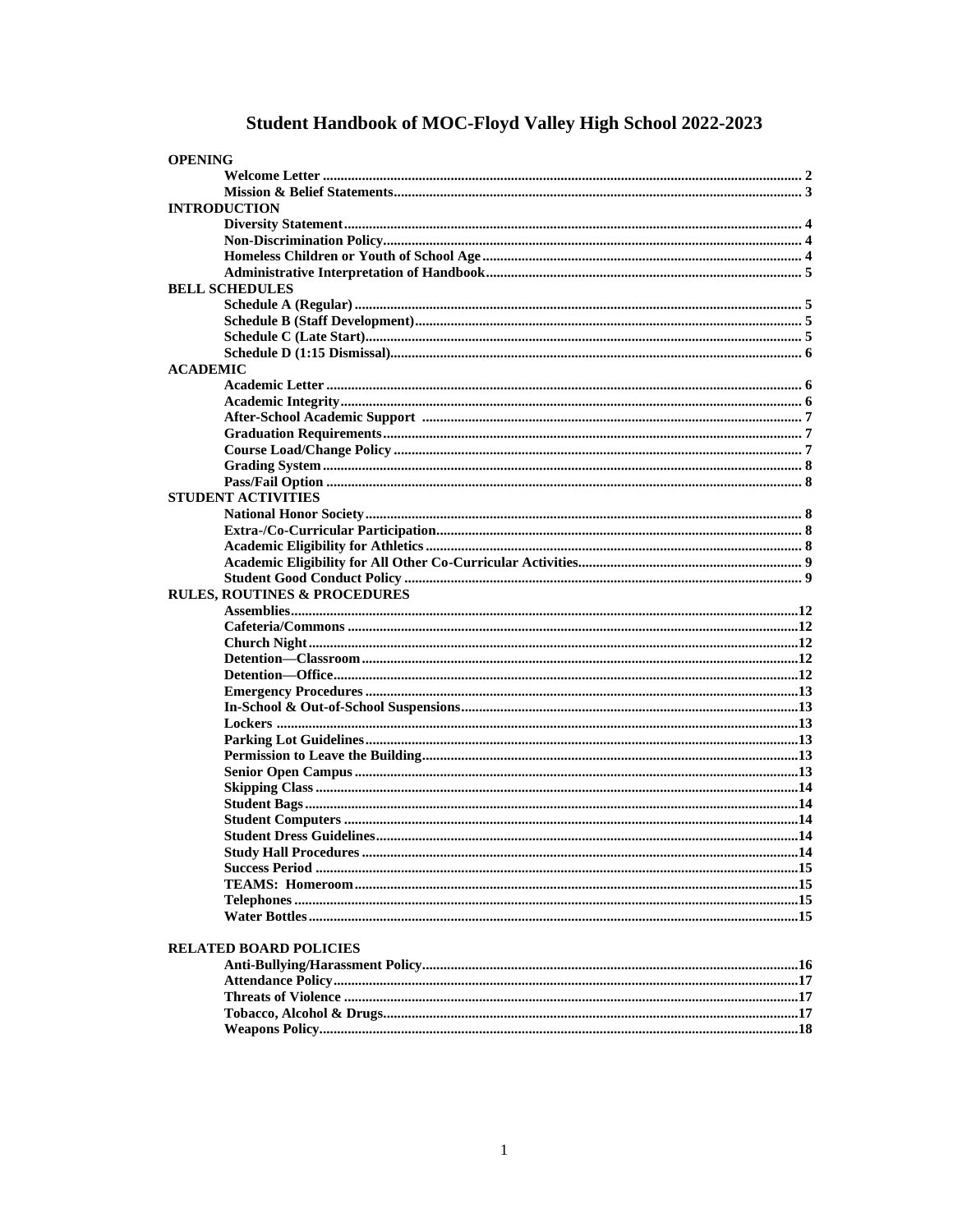# Student Handbook of MOC-Floyd Valley High School 2022-2023

| <b>OPENING</b>                          |  |
|-----------------------------------------|--|
|                                         |  |
|                                         |  |
| <b>INTRODUCTION</b>                     |  |
|                                         |  |
|                                         |  |
|                                         |  |
|                                         |  |
| <b>BELL SCHEDULES</b>                   |  |
|                                         |  |
|                                         |  |
|                                         |  |
|                                         |  |
| <b>ACADEMIC</b>                         |  |
|                                         |  |
|                                         |  |
|                                         |  |
|                                         |  |
|                                         |  |
|                                         |  |
|                                         |  |
|                                         |  |
| <b>STUDENT ACTIVITIES</b>               |  |
|                                         |  |
|                                         |  |
|                                         |  |
|                                         |  |
|                                         |  |
| <b>RULES, ROUTINES &amp; PROCEDURES</b> |  |
|                                         |  |
|                                         |  |
|                                         |  |
|                                         |  |
|                                         |  |
|                                         |  |
|                                         |  |
|                                         |  |
|                                         |  |
|                                         |  |
|                                         |  |
|                                         |  |
|                                         |  |
|                                         |  |
|                                         |  |
|                                         |  |
|                                         |  |
|                                         |  |
|                                         |  |
|                                         |  |
|                                         |  |
| <b>RELATED BOARD POLICIES</b>           |  |
|                                         |  |
|                                         |  |
|                                         |  |
|                                         |  |
|                                         |  |
|                                         |  |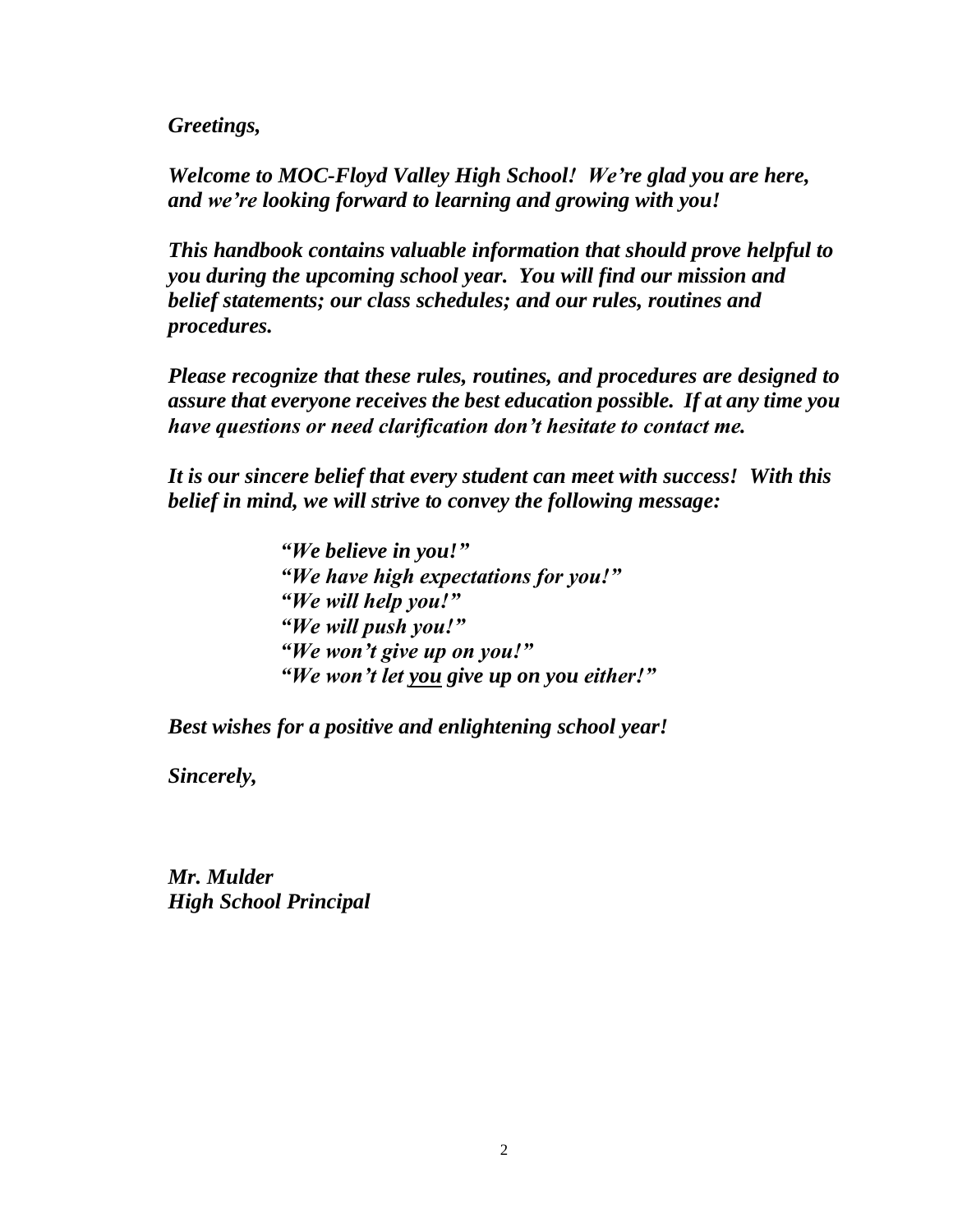*Greetings,*

*Welcome to MOC-Floyd Valley High School! We're glad you are here, and we're looking forward to learning and growing with you!*

*This handbook contains valuable information that should prove helpful to you during the upcoming school year. You will find our mission and belief statements; our class schedules; and our rules, routines and procedures.* 

*Please recognize that these rules, routines, and procedures are designed to assure that everyone receives the best education possible. If at any time you have questions or need clarification don't hesitate to contact me.*

*It is our sincere belief that every student can meet with success! With this belief in mind, we will strive to convey the following message:*

> *"We believe in you!" "We have high expectations for you!" "We will help you!" "We will push you!" "We won't give up on you!" "We won't let you give up on you either!"*

*Best wishes for a positive and enlightening school year!*

*Sincerely,*

*Mr. Mulder High School Principal*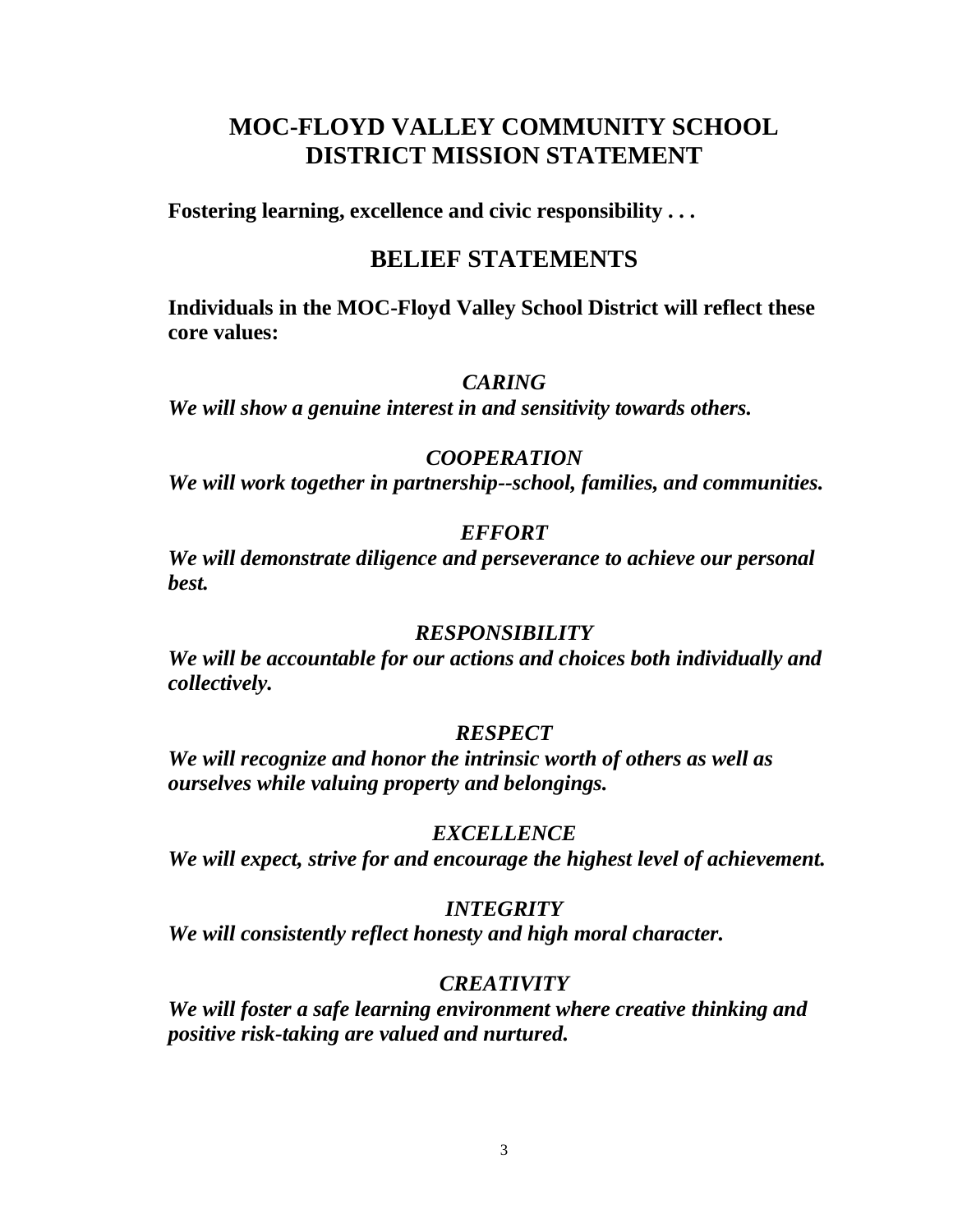# **MOC-FLOYD VALLEY COMMUNITY SCHOOL DISTRICT MISSION STATEMENT**

**Fostering learning, excellence and civic responsibility . . .** 

# **BELIEF STATEMENTS**

**Individuals in the MOC-Floyd Valley School District will reflect these core values:**

# *CARING*

*We will show a genuine interest in and sensitivity towards others.*

# *COOPERATION*

*We will work together in partnership--school, families, and communities.*

# *EFFORT*

*We will demonstrate diligence and perseverance to achieve our personal best.*

# *RESPONSIBILITY*

*We will be accountable for our actions and choices both individually and collectively.*

# *RESPECT*

*We will recognize and honor the intrinsic worth of others as well as ourselves while valuing property and belongings.*

# *EXCELLENCE*

*We will expect, strive for and encourage the highest level of achievement.*

# *INTEGRITY*

*We will consistently reflect honesty and high moral character.*

# *CREATIVITY*

*We will foster a safe learning environment where creative thinking and positive risk-taking are valued and nurtured.*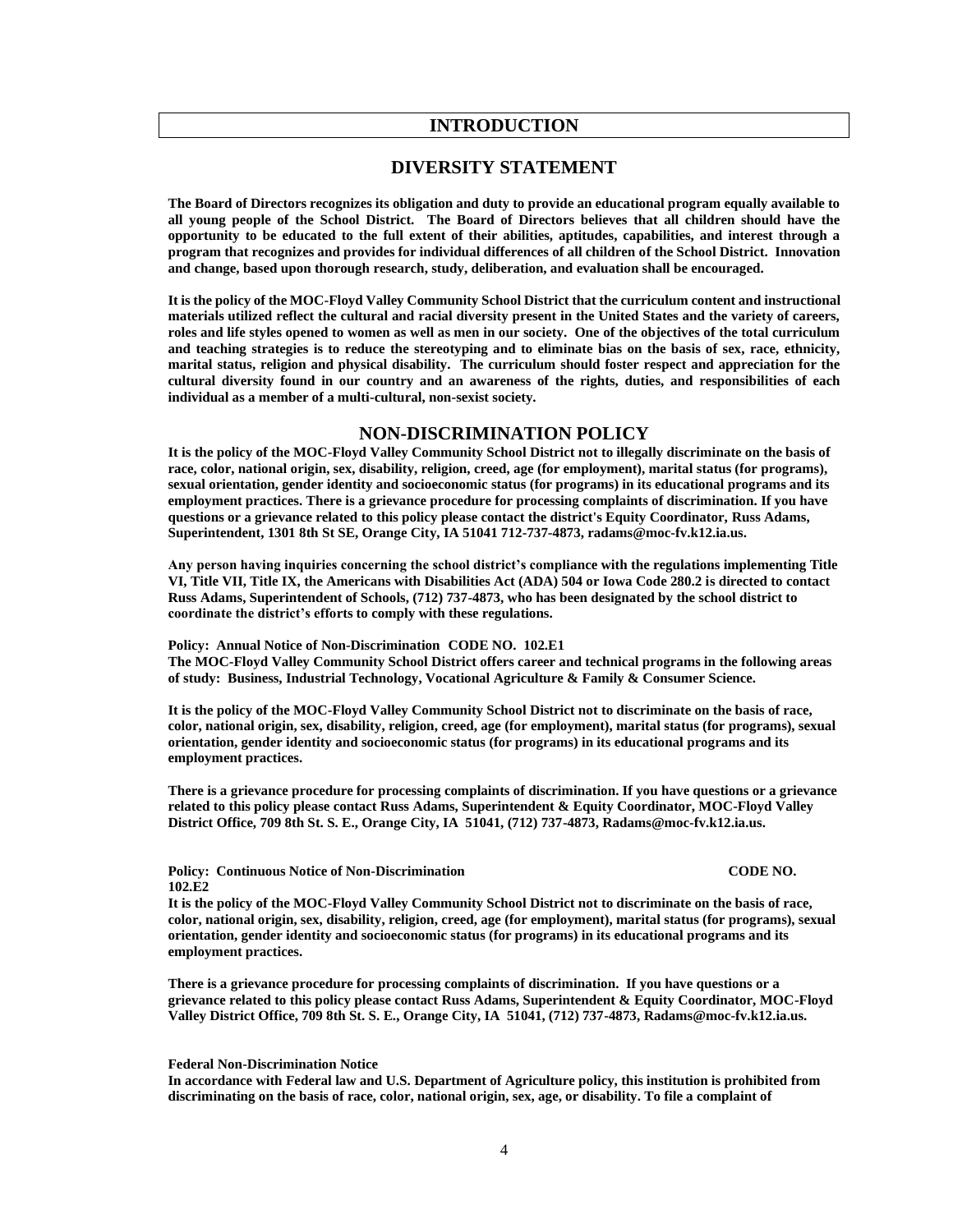#### **INTRODUCTION**

#### **DIVERSITY STATEMENT**

**The Board of Directors recognizes its obligation and duty to provide an educational program equally available to all young people of the School District. The Board of Directors believes that all children should have the opportunity to be educated to the full extent of their abilities, aptitudes, capabilities, and interest through a program that recognizes and provides for individual differences of all children of the School District. Innovation and change, based upon thorough research, study, deliberation, and evaluation shall be encouraged.**

**It is the policy of the MOC-Floyd Valley Community School District that the curriculum content and instructional materials utilized reflect the cultural and racial diversity present in the United States and the variety of careers, roles and life styles opened to women as well as men in our society. One of the objectives of the total curriculum and teaching strategies is to reduce the stereotyping and to eliminate bias on the basis of sex, race, ethnicity, marital status, religion and physical disability. The curriculum should foster respect and appreciation for the cultural diversity found in our country and an awareness of the rights, duties, and responsibilities of each individual as a member of a multi-cultural, non-sexist society.**

#### **NON-DISCRIMINATION POLICY**

**It is the policy of the MOC-Floyd Valley Community School District not to illegally discriminate on the basis of race, color, national origin, sex, disability, religion, creed, age (for employment), marital status (for programs), sexual orientation, gender identity and socioeconomic status (for programs) in its educational programs and its employment practices. There is a grievance procedure for processing complaints of discrimination. If you have questions or a grievance related to this policy please contact the district's Equity Coordinator, Russ Adams, Superintendent, 1301 8th St SE, Orange City, IA 51041 712-737-4873, radams@moc-fv.k12.ia.us.** 

**Any person having inquiries concerning the school district's compliance with the regulations implementing Title VI, Title VII, Title IX, the Americans with Disabilities Act (ADA) 504 or Iowa Code 280.2 is directed to contact Russ Adams, Superintendent of Schools, (712) 737-4873, who has been designated by the school district to coordinate the district's efforts to comply with these regulations.**

**Policy: Annual Notice of Non-Discrimination CODE NO. 102.E1 The MOC-Floyd Valley Community School District offers career and technical programs in the following areas of study: Business, Industrial Technology, Vocational Agriculture & Family & Consumer Science.**

**It is the policy of the MOC-Floyd Valley Community School District not to discriminate on the basis of race, color, national origin, sex, disability, religion, creed, age (for employment), marital status (for programs), sexual orientation, gender identity and socioeconomic status (for programs) in its educational programs and its employment practices.** 

**There is a grievance procedure for processing complaints of discrimination. If you have questions or a grievance related to this policy please contact Russ Adams, Superintendent & Equity Coordinator, MOC-Floyd Valley District Office, 709 8th St. S. E., Orange City, IA 51041, (712) 737-4873, [Radams@moc-fv.k12.ia.us.](mailto:Radams@moc-fv.k12.ia.us)**

**Policy: Continuous Notice of Non-Discrimination CODE NO. 102.E2**

**It is the policy of the MOC-Floyd Valley Community School District not to discriminate on the basis of race, color, national origin, sex, disability, religion, creed, age (for employment), marital status (for programs), sexual orientation, gender identity and socioeconomic status (for programs) in its educational programs and its employment practices.** 

**There is a grievance procedure for processing complaints of discrimination. If you have questions or a grievance related to this policy please contact Russ Adams, Superintendent & Equity Coordinator, MOC-Floyd Valley District Office, 709 8th St. S. E., Orange City, IA 51041, (712) 737-4873[, Radams@moc-fv.k12.ia.us.](mailto:Radams@moc-fv.k12.ia.us)**

**Federal Non-Discrimination Notice**

**In accordance with Federal law and U.S. Department of Agriculture policy, this institution is prohibited from discriminating on the basis of race, color, national origin, sex, age, or disability. To file a complaint of**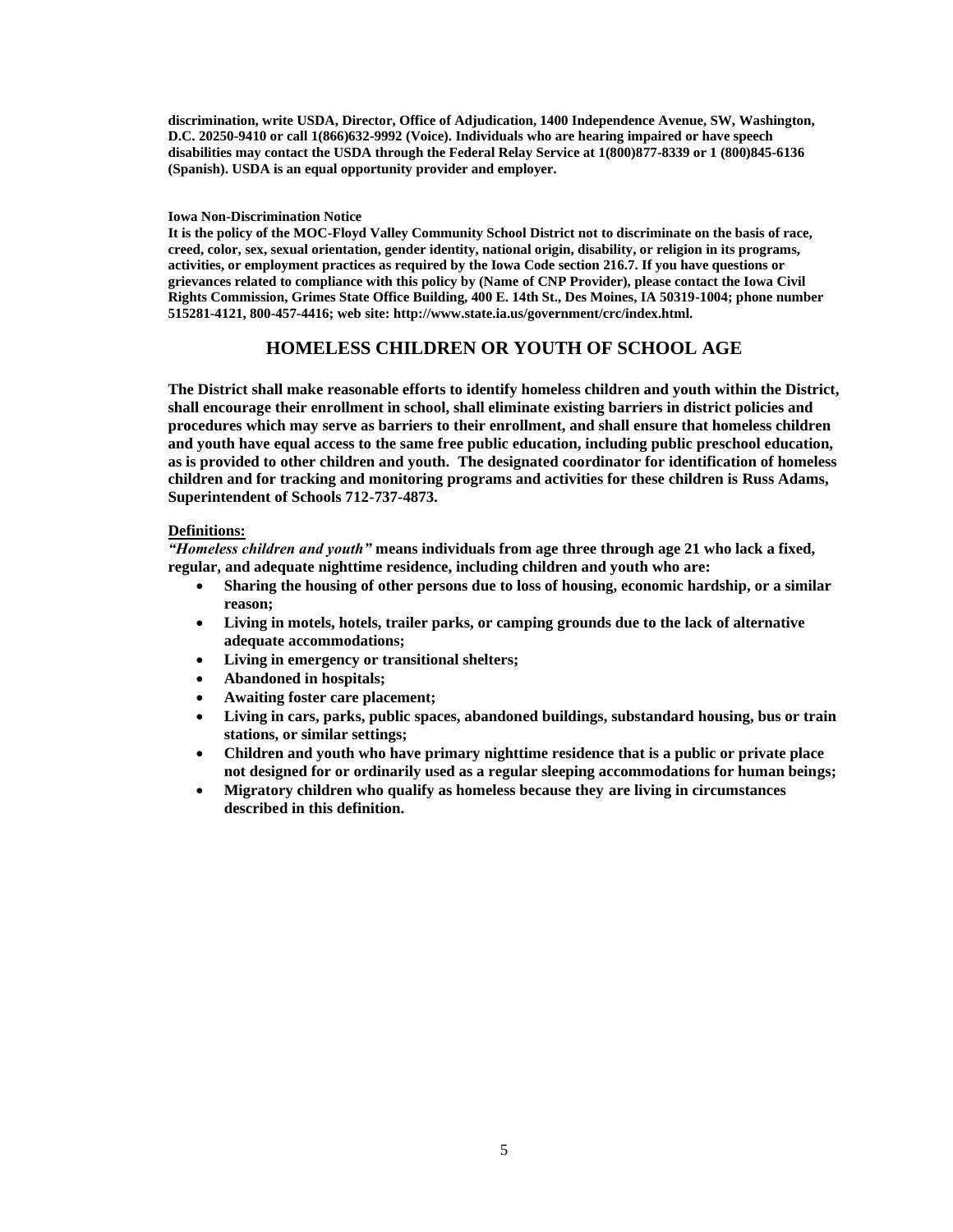**discrimination, write USDA, Director, Office of Adjudication, 1400 Independence Avenue, SW, Washington, D.C. 20250-9410 or call 1(866)632-9992 (Voice). Individuals who are hearing impaired or have speech disabilities may contact the USDA through the Federal Relay Service at 1(800)877-8339 or 1 (800)845-6136 (Spanish). USDA is an equal opportunity provider and employer.** 

#### **Iowa Non-Discrimination Notice**

**It is the policy of the MOC-Floyd Valley Community School District not to discriminate on the basis of race, creed, color, sex, sexual orientation, gender identity, national origin, disability, or religion in its programs, activities, or employment practices as required by the Iowa Code section 216.7. If you have questions or grievances related to compliance with this policy by (Name of CNP Provider), please contact the Iowa Civil Rights Commission, Grimes State Office Building, 400 E. 14th St., Des Moines, IA 50319-1004; phone number 515281-4121, 800-457-4416; web site: http://www.state.ia.us/government/crc/index.html.**

### **HOMELESS CHILDREN OR YOUTH OF SCHOOL AGE**

**The District shall make reasonable efforts to identify homeless children and youth within the District, shall encourage their enrollment in school, shall eliminate existing barriers in district policies and procedures which may serve as barriers to their enrollment, and shall ensure that homeless children and youth have equal access to the same free public education, including public preschool education, as is provided to other children and youth. The designated coordinator for identification of homeless children and for tracking and monitoring programs and activities for these children is Russ Adams, Superintendent of Schools 712-737-4873.**

#### **Definitions:**

*"Homeless children and youth"* **means individuals from age three through age 21 who lack a fixed, regular, and adequate nighttime residence, including children and youth who are:**

- **Sharing the housing of other persons due to loss of housing, economic hardship, or a similar reason;**
- **Living in motels, hotels, trailer parks, or camping grounds due to the lack of alternative adequate accommodations;**
- **Living in emergency or transitional shelters;**
- **Abandoned in hospitals;**
- **Awaiting foster care placement;**
- **Living in cars, parks, public spaces, abandoned buildings, substandard housing, bus or train stations, or similar settings;**
- **Children and youth who have primary nighttime residence that is a public or private place not designed for or ordinarily used as a regular sleeping accommodations for human beings;**
- **Migratory children who qualify as homeless because they are living in circumstances described in this definition.**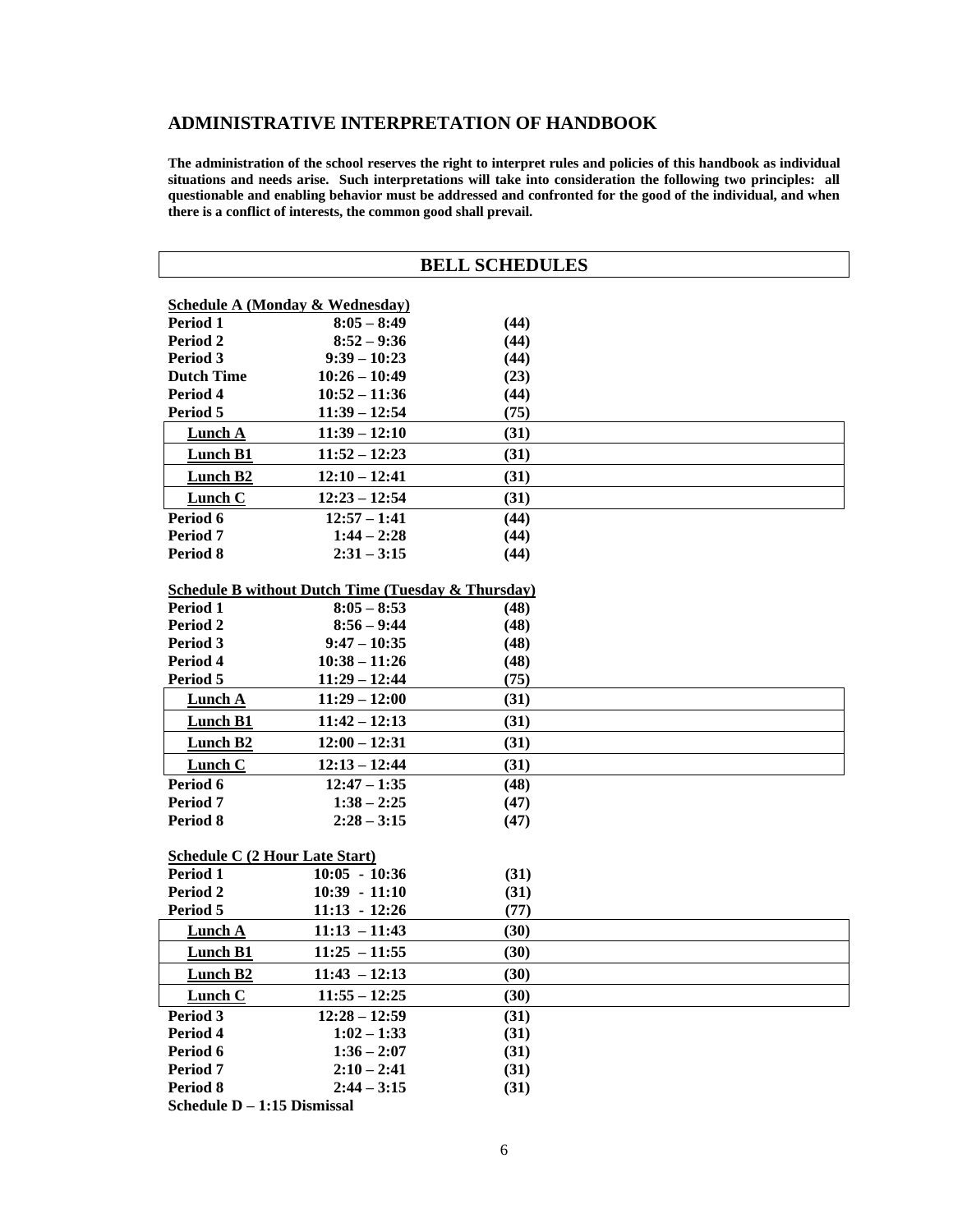# **ADMINISTRATIVE INTERPRETATION OF HANDBOOK**

**The administration of the school reserves the right to interpret rules and policies of this handbook as individual situations and needs arise. Such interpretations will take into consideration the following two principles: all questionable and enabling behavior must be addressed and confronted for the good of the individual, and when there is a conflict of interests, the common good shall prevail.**

| <b>BELL SCHEDULES</b>                                  |                             |              |  |  |  |  |
|--------------------------------------------------------|-----------------------------|--------------|--|--|--|--|
|                                                        |                             |              |  |  |  |  |
| <b>Schedule A (Monday &amp; Wednesday)</b><br>Period 1 | $8:05 - 8:49$               |              |  |  |  |  |
| Period 2                                               | $8:52 - 9:36$               | (44)<br>(44) |  |  |  |  |
| Period 3                                               | $9:39 - 10:23$              | (44)         |  |  |  |  |
| <b>Dutch Time</b>                                      | $10:26 - 10:49$             | (23)         |  |  |  |  |
| Period 4                                               | $10:52 - 11:36$             | (44)         |  |  |  |  |
| Period 5                                               | $11:39 - 12:54$             | (75)         |  |  |  |  |
| <b>Lunch A</b>                                         | $11:39 - 12:10$             | (31)         |  |  |  |  |
| Lunch B1                                               | $11:52 - 12:23$             | (31)         |  |  |  |  |
| Lunch B <sub>2</sub>                                   | $12:10 - 12:41$             | (31)         |  |  |  |  |
| <b>Lunch C</b>                                         | $12:23 - 12:54$             | (31)         |  |  |  |  |
| Period 6                                               | $12:57 - 1:41$              | (44)         |  |  |  |  |
| Period 7                                               | $1:44 - 2:28$               | (44)         |  |  |  |  |
| Period 8                                               | $2:31 - 3:15$               | (44)         |  |  |  |  |
| Schedule B without Dutch Time (Tuesday & Thursday)     |                             |              |  |  |  |  |
| Period 1                                               | $8:05 - 8:53$               | (48)         |  |  |  |  |
| Period 2                                               | $8:56 - 9:44$               | (48)         |  |  |  |  |
| Period 3                                               | $9:47 - 10:35$              | (48)         |  |  |  |  |
| Period 4                                               | $10:38 - 11:26$             | (48)         |  |  |  |  |
| Period 5                                               | $11:29 - 12:44$             | (75)         |  |  |  |  |
| <b>Lunch A</b>                                         | $11:29 - 12:00$             | (31)         |  |  |  |  |
| <b>Lunch B1</b>                                        | $11:42 - 12:13$             | (31)         |  |  |  |  |
| Lunch B2                                               | $12:00 - 12:31$             | (31)         |  |  |  |  |
| Lunch C                                                | $12:13 - 12:44$             | (31)         |  |  |  |  |
| Period 6                                               | $12:47 - 1:35$              | (48)         |  |  |  |  |
| Period 7                                               | $1:38 - 2:25$               | (47)         |  |  |  |  |
| Period 8                                               | $2:28 - 3:15$               | (47)         |  |  |  |  |
|                                                        |                             |              |  |  |  |  |
| <b>Schedule C (2 Hour Late Start)</b>                  |                             |              |  |  |  |  |
| Period 1                                               | $10:05 - 10:36$             | (31)         |  |  |  |  |
| Period 2                                               | $10:39 - 11:10$             | (31)         |  |  |  |  |
| Period 5                                               | $11:13 - 12:26$             | (77)         |  |  |  |  |
| <b>Lunch A</b>                                         | $11:13 - 11:43$             | (30)         |  |  |  |  |
| Lunch B1                                               | $11:25 - 11:55$             | (30)         |  |  |  |  |
| <b>Lunch B2</b>                                        | $11:43 - 12:13$             | (30)         |  |  |  |  |
| <b>Lunch C</b>                                         | $11:55 - 12:25$             | (30)         |  |  |  |  |
| Period 3                                               | $12:28 - 12:59$             | (31)         |  |  |  |  |
| Period 4                                               | $1:02 - 1:33$               | (31)         |  |  |  |  |
| Period 6                                               | $1:36 - 2:07$               | (31)         |  |  |  |  |
| Period 7                                               | $2:10 - 2:41$               | (31)         |  |  |  |  |
| Period 8                                               | $2:44 - 3:15$               | (31)         |  |  |  |  |
|                                                        | Schedule D - 1:15 Dismissal |              |  |  |  |  |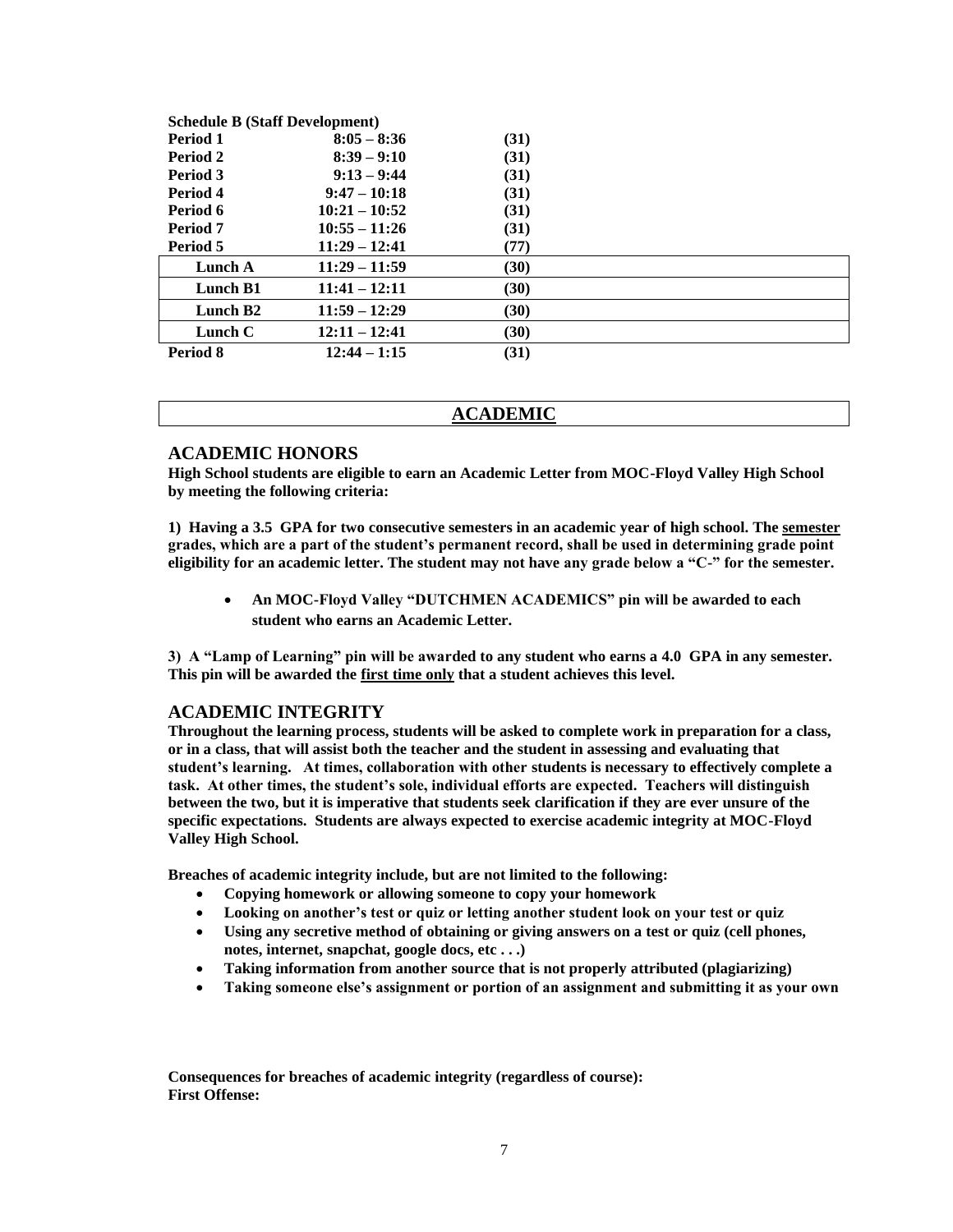| <b>Schedule B (Staff Development)</b> |                 |      |  |  |
|---------------------------------------|-----------------|------|--|--|
| <b>Period 1</b>                       | $8:05 - 8:36$   | (31) |  |  |
| Period 2                              | $8:39 - 9:10$   | (31) |  |  |
| Period 3                              | $9:13 - 9:44$   | (31) |  |  |
| Period 4                              | $9:47 - 10:18$  | (31) |  |  |
| Period 6                              | $10:21 - 10:52$ | (31) |  |  |
| Period 7                              | $10:55 - 11:26$ | (31) |  |  |
| Period 5                              | $11:29 - 12:41$ | (77) |  |  |
| Lunch A                               | $11:29 - 11:59$ | (30) |  |  |
| Lunch B1                              | $11:41 - 12:11$ | (30) |  |  |
| Lunch B <sub>2</sub>                  | $11:59 - 12:29$ | (30) |  |  |
| Lunch $C$                             | $12:11 - 12:41$ | (30) |  |  |
| Period 8                              | $12:44 - 1:15$  | (31) |  |  |

#### **ACADEMIC**

#### **ACADEMIC HONORS**

**High School students are eligible to earn an Academic Letter from MOC-Floyd Valley High School by meeting the following criteria:**

**1) Having a 3.5 GPA for two consecutive semesters in an academic year of high school. The semester grades, which are a part of the student's permanent record, shall be used in determining grade point eligibility for an academic letter. The student may not have any grade below a "C-" for the semester.**

• **An MOC-Floyd Valley "DUTCHMEN ACADEMICS" pin will be awarded to each student who earns an Academic Letter.**

**3) A "Lamp of Learning" pin will be awarded to any student who earns a 4.0 GPA in any semester. This pin will be awarded the first time only that a student achieves this level.**

#### **ACADEMIC INTEGRITY**

**Throughout the learning process, students will be asked to complete work in preparation for a class, or in a class, that will assist both the teacher and the student in assessing and evaluating that student's learning. At times, collaboration with other students is necessary to effectively complete a task. At other times, the student's sole, individual efforts are expected. Teachers will distinguish between the two, but it is imperative that students seek clarification if they are ever unsure of the specific expectations. Students are always expected to exercise academic integrity at MOC-Floyd Valley High School.**

**Breaches of academic integrity include, but are not limited to the following:** 

- **Copying homework or allowing someone to copy your homework**
- **Looking on another's test or quiz or letting another student look on your test or quiz**
- **Using any secretive method of obtaining or giving answers on a test or quiz (cell phones, notes, internet, snapchat, google docs, etc . . .)**
- **Taking information from another source that is not properly attributed (plagiarizing)**
- **Taking someone else's assignment or portion of an assignment and submitting it as your own**

**Consequences for breaches of academic integrity (regardless of course): First Offense:**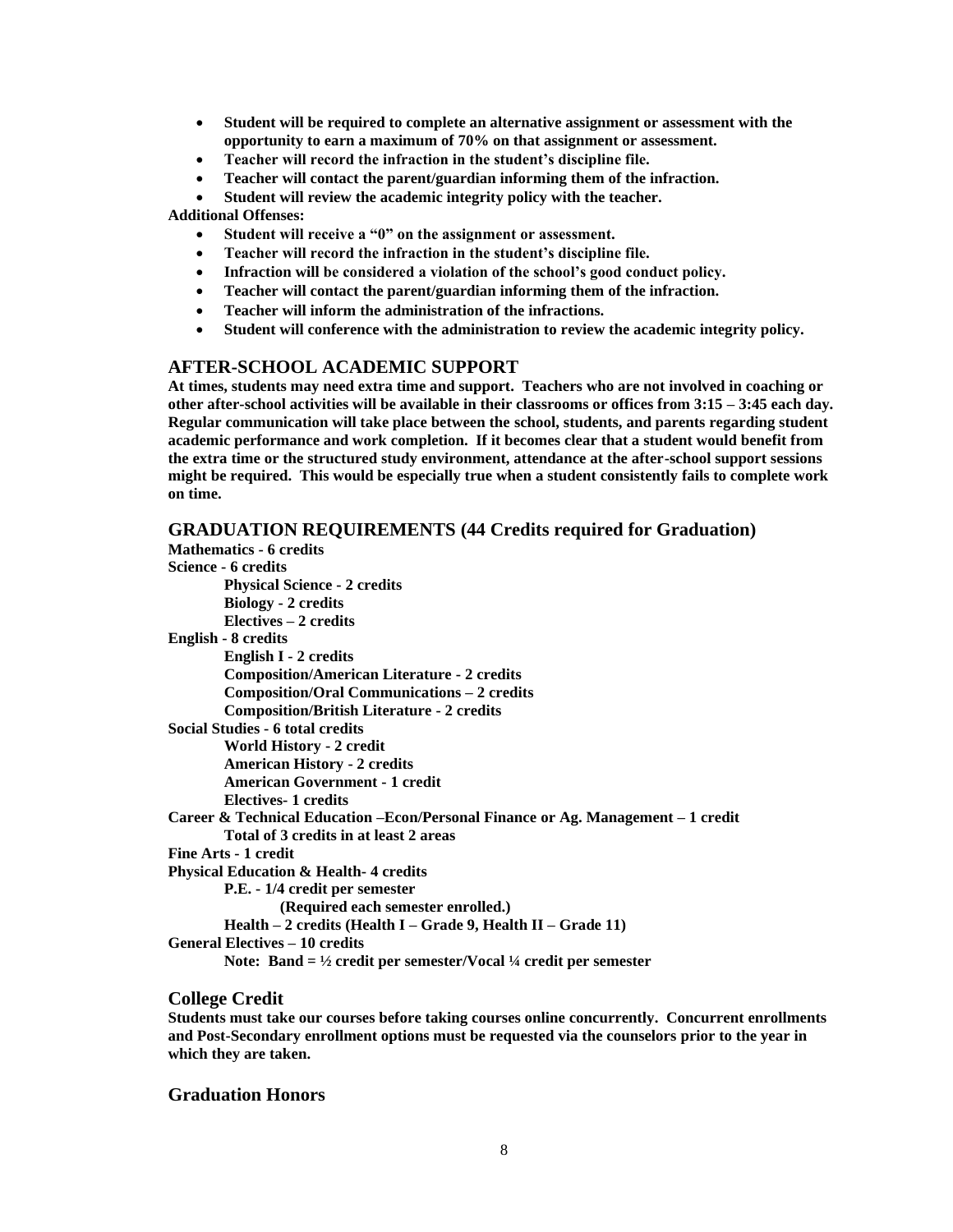- **Student will be required to complete an alternative assignment or assessment with the opportunity to earn a maximum of 70% on that assignment or assessment.**
- **Teacher will record the infraction in the student's discipline file.**
- **Teacher will contact the parent/guardian informing them of the infraction.**
- **Student will review the academic integrity policy with the teacher.**

**Additional Offenses:**

- **Student will receive a "0" on the assignment or assessment.**
- **Teacher will record the infraction in the student's discipline file.**
- **Infraction will be considered a violation of the school's good conduct policy.**
- **Teacher will contact the parent/guardian informing them of the infraction.**
- **Teacher will inform the administration of the infractions.**
- **Student will conference with the administration to review the academic integrity policy.**

#### **AFTER-SCHOOL ACADEMIC SUPPORT**

**At times, students may need extra time and support. Teachers who are not involved in coaching or other after-school activities will be available in their classrooms or offices from 3:15 – 3:45 each day. Regular communication will take place between the school, students, and parents regarding student academic performance and work completion. If it becomes clear that a student would benefit from the extra time or the structured study environment, attendance at the after-school support sessions might be required. This would be especially true when a student consistently fails to complete work on time.** 

#### **GRADUATION REQUIREMENTS (44 Credits required for Graduation)**

| <b>Mathematics - 6 credits</b>                                                         |
|----------------------------------------------------------------------------------------|
| Science - 6 credits                                                                    |
| <b>Physical Science - 2 credits</b>                                                    |
| <b>Biology - 2 credits</b>                                                             |
| $Electives - 2 credits$                                                                |
| English - 8 credits                                                                    |
| English I - 2 credits                                                                  |
| <b>Composition/American Literature - 2 credits</b>                                     |
| <b>Composition/Oral Communications - 2 credits</b>                                     |
| <b>Composition/British Literature - 2 credits</b>                                      |
| Social Studies - 6 total credits                                                       |
| World History - 2 credit                                                               |
| <b>American History - 2 credits</b>                                                    |
| <b>American Government - 1 credit</b>                                                  |
| Electives-1 credits                                                                    |
| Career & Technical Education - Econ/Personal Finance or Ag. Management - 1 credit      |
| Total of 3 credits in at least 2 areas                                                 |
| Fine Arts - 1 credit                                                                   |
| <b>Physical Education &amp; Health-4 credits</b>                                       |
| P.E. - 1/4 credit per semester                                                         |
| (Required each semester enrolled.)                                                     |
| Health $-2$ credits (Health I $-$ Grade 9, Health II $-$ Grade 11)                     |
| <b>General Electives – 10 credits</b>                                                  |
| Note: Band $= \frac{1}{2}$ credit per semester/Vocal $\frac{1}{4}$ credit per semester |

#### **College Credit**

**Students must take our courses before taking courses online concurrently. Concurrent enrollments and Post-Secondary enrollment options must be requested via the counselors prior to the year in which they are taken.** 

#### **Graduation Honors**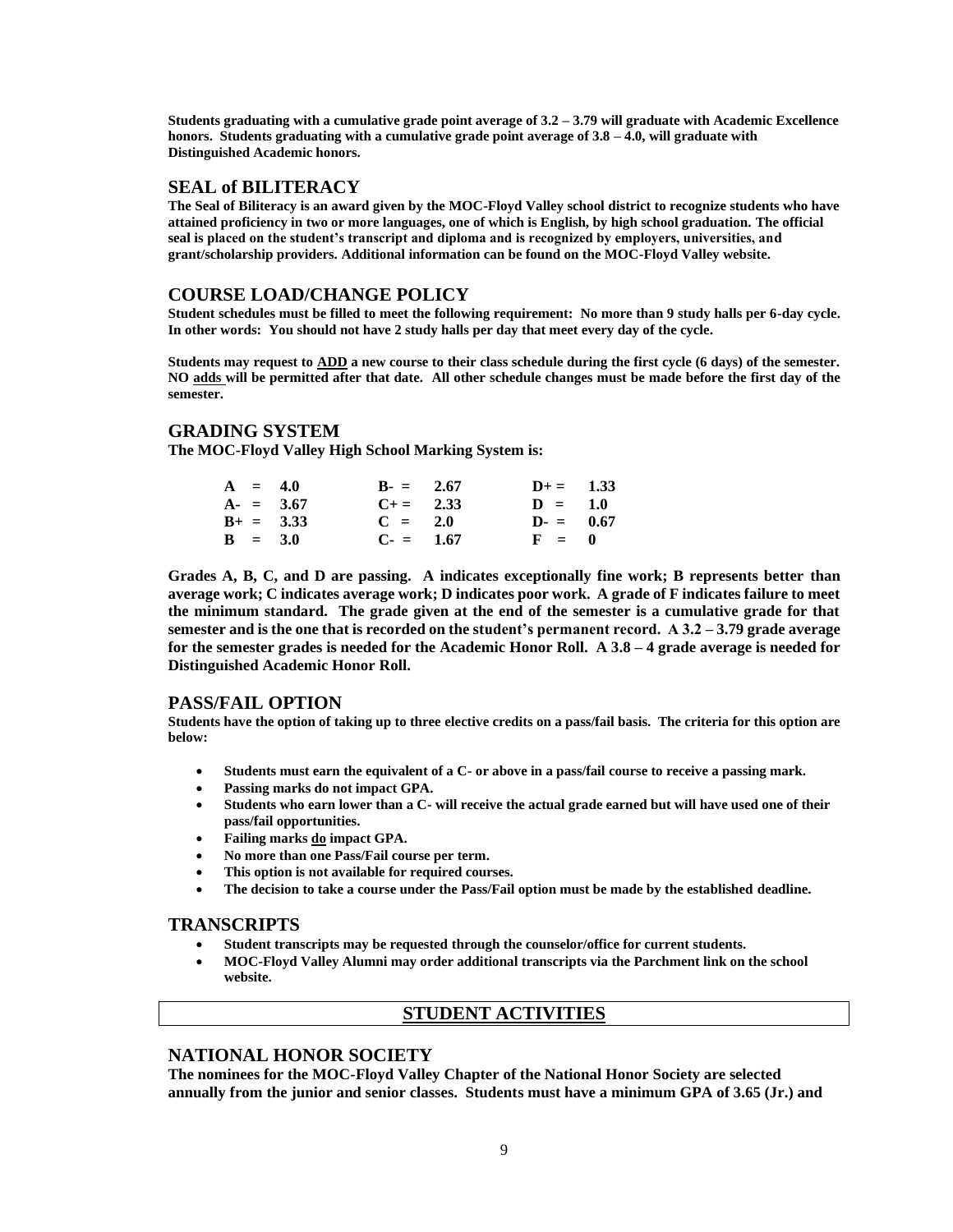**Students graduating with a cumulative grade point average of 3.2 – 3.79 will graduate with Academic Excellence honors. Students graduating with a cumulative grade point average of 3.8 – 4.0, will graduate with Distinguished Academic honors.** 

#### **SEAL of BILITERACY**

**The Seal of Biliteracy is an award given by the MOC-Floyd Valley school district to recognize students who have attained proficiency in two or more languages, one of which is English, by high school graduation. The official seal is placed on the student's transcript and diploma and is recognized by employers, universities, and grant/scholarship providers. Additional information can be found on the MOC-Floyd Valley website.**

#### **COURSE LOAD/CHANGE POLICY**

**Student schedules must be filled to meet the following requirement: No more than 9 study halls per 6-day cycle. In other words: You should not have 2 study halls per day that meet every day of the cycle.**

**Students may request to ADD a new course to their class schedule during the first cycle (6 days) of the semester. NO adds will be permitted after that date. All other schedule changes must be made before the first day of the semester.**

#### **GRADING SYSTEM**

**The MOC-Floyd Valley High School Marking System is:**

|  | $A = 4.0$   | $B = 2.67$ | $D+=$ 1.33 |  |
|--|-------------|------------|------------|--|
|  | $A = 3.67$  | $C+=$ 2.33 | $D = 1.0$  |  |
|  | $B+ = 3.33$ | $C = 2.0$  | $D = 0.67$ |  |
|  | $B = 3.0$   | $C = 1.67$ | $F = 0$    |  |

**Grades A, B, C, and D are passing. A indicates exceptionally fine work; B represents better than average work; C indicates average work; D indicates poor work. A grade of F indicates failure to meet the minimum standard. The grade given at the end of the semester is a cumulative grade for that semester and is the one that is recorded on the student's permanent record. A 3.2 – 3.79 grade average for the semester grades is needed for the Academic Honor Roll. A 3.8 – 4 grade average is needed for Distinguished Academic Honor Roll.**

#### **PASS/FAIL OPTION**

**Students have the option of taking up to three elective credits on a pass/fail basis. The criteria for this option are below:**

- **Students must earn the equivalent of a C- or above in a pass/fail course to receive a passing mark.**
- **Passing marks do not impact GPA.**
- **Students who earn lower than a C- will receive the actual grade earned but will have used one of their pass/fail opportunities.**
- **Failing marks do impact GPA.**
- **No more than one Pass/Fail course per term.**
- **This option is not available for required courses.**
- **The decision to take a course under the Pass/Fail option must be made by the established deadline.**

#### **TRANSCRIPTS**

- **Student transcripts may be requested through the counselor/office for current students.**
- **MOC-Floyd Valley Alumni may order additional transcripts via the Parchment link on the school website.**

#### **STUDENT ACTIVITIES**

### **NATIONAL HONOR SOCIETY**

**The nominees for the MOC-Floyd Valley Chapter of the National Honor Society are selected annually from the junior and senior classes. Students must have a minimum GPA of 3.65 (Jr.) and**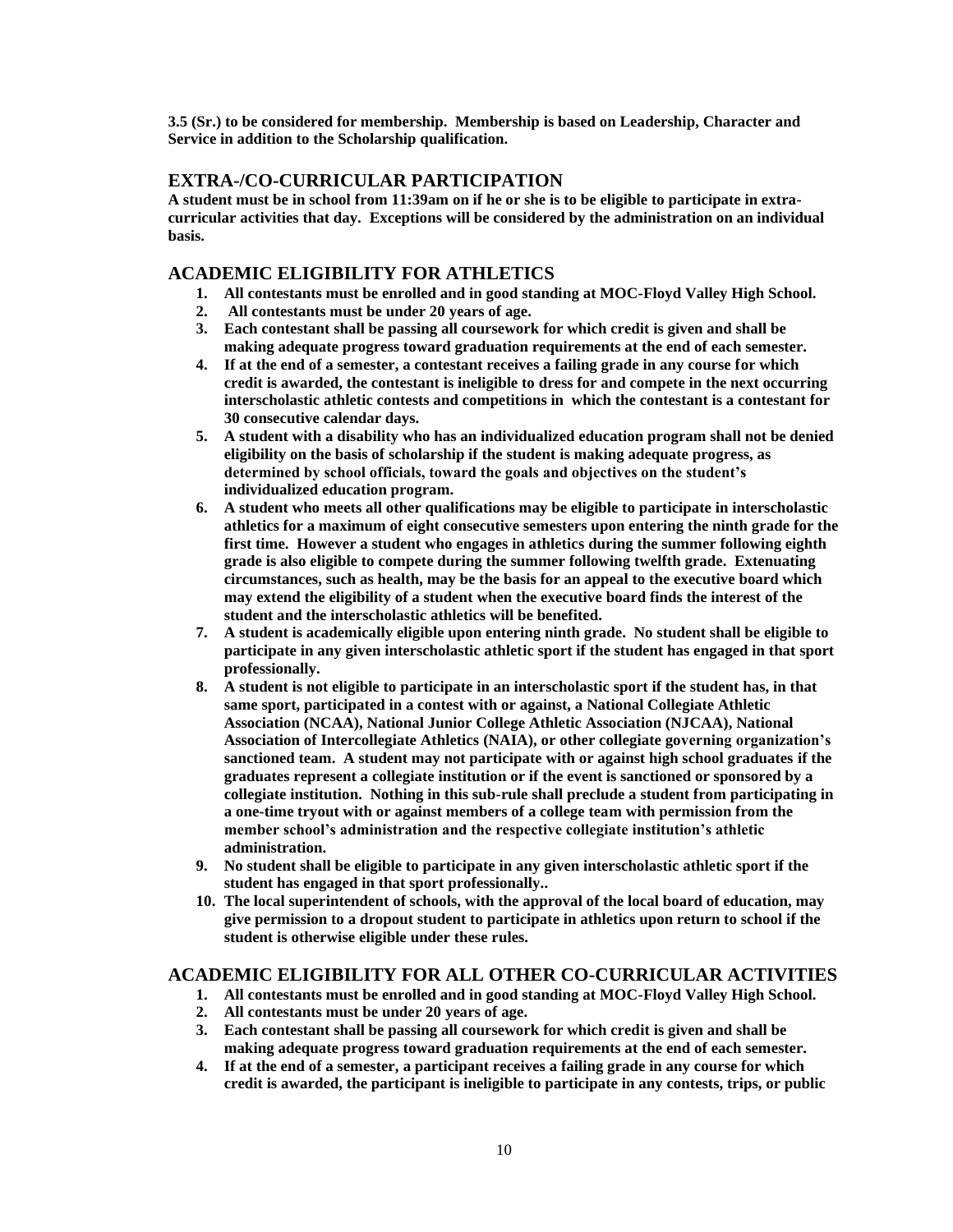**3.5 (Sr.) to be considered for membership. Membership is based on Leadership, Character and Service in addition to the Scholarship qualification.**

#### **EXTRA-/CO-CURRICULAR PARTICIPATION**

**A student must be in school from 11:39am on if he or she is to be eligible to participate in extracurricular activities that day. Exceptions will be considered by the administration on an individual basis.** 

### **ACADEMIC ELIGIBILITY FOR ATHLETICS**

- **1. All contestants must be enrolled and in good standing at MOC-Floyd Valley High School.**
- **2. All contestants must be under 20 years of age.**
- **3. Each contestant shall be passing all coursework for which credit is given and shall be making adequate progress toward graduation requirements at the end of each semester.**
- **4. If at the end of a semester, a contestant receives a failing grade in any course for which credit is awarded, the contestant is ineligible to dress for and compete in the next occurring interscholastic athletic contests and competitions in which the contestant is a contestant for 30 consecutive calendar days.**
- **5. A student with a disability who has an individualized education program shall not be denied eligibility on the basis of scholarship if the student is making adequate progress, as determined by school officials, toward the goals and objectives on the student's individualized education program.**
- **6. A student who meets all other qualifications may be eligible to participate in interscholastic athletics for a maximum of eight consecutive semesters upon entering the ninth grade for the first time. However a student who engages in athletics during the summer following eighth grade is also eligible to compete during the summer following twelfth grade. Extenuating circumstances, such as health, may be the basis for an appeal to the executive board which may extend the eligibility of a student when the executive board finds the interest of the student and the interscholastic athletics will be benefited.**
- **7. A student is academically eligible upon entering ninth grade. No student shall be eligible to participate in any given interscholastic athletic sport if the student has engaged in that sport professionally.**
- **8. A student is not eligible to participate in an interscholastic sport if the student has, in that same sport, participated in a contest with or against, a National Collegiate Athletic Association (NCAA), National Junior College Athletic Association (NJCAA), National Association of Intercollegiate Athletics (NAIA), or other collegiate governing organization's sanctioned team. A student may not participate with or against high school graduates if the graduates represent a collegiate institution or if the event is sanctioned or sponsored by a collegiate institution. Nothing in this sub-rule shall preclude a student from participating in a one-time tryout with or against members of a college team with permission from the member school's administration and the respective collegiate institution's athletic administration.**
- **9. No student shall be eligible to participate in any given interscholastic athletic sport if the student has engaged in that sport professionally..**
- **10. The local superintendent of schools, with the approval of the local board of education, may give permission to a dropout student to participate in athletics upon return to school if the student is otherwise eligible under these rules.**

### **ACADEMIC ELIGIBILITY FOR ALL OTHER CO-CURRICULAR ACTIVITIES**

- **1. All contestants must be enrolled and in good standing at MOC-Floyd Valley High School.**
- **2. All contestants must be under 20 years of age.**
- **3. Each contestant shall be passing all coursework for which credit is given and shall be making adequate progress toward graduation requirements at the end of each semester.**
- **4. If at the end of a semester, a participant receives a failing grade in any course for which credit is awarded, the participant is ineligible to participate in any contests, trips, or public**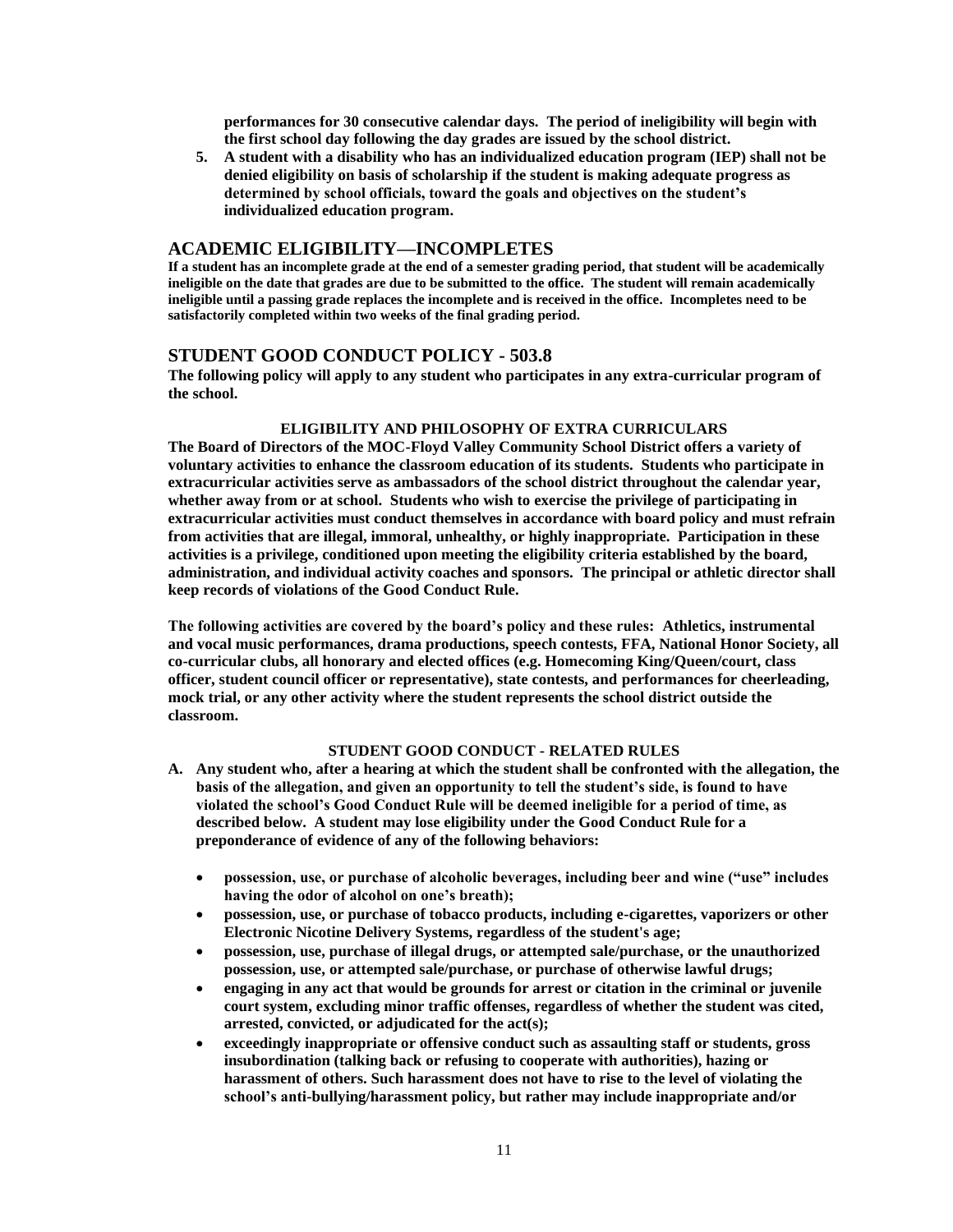**performances for 30 consecutive calendar days. The period of ineligibility will begin with the first school day following the day grades are issued by the school district.** 

**5. A student with a disability who has an individualized education program (IEP) shall not be denied eligibility on basis of scholarship if the student is making adequate progress as determined by school officials, toward the goals and objectives on the student's individualized education program.**

#### **ACADEMIC ELIGIBILITY—INCOMPLETES**

**If a student has an incomplete grade at the end of a semester grading period, that student will be academically ineligible on the date that grades are due to be submitted to the office. The student will remain academically ineligible until a passing grade replaces the incomplete and is received in the office. Incompletes need to be satisfactorily completed within two weeks of the final grading period.**

#### **STUDENT GOOD CONDUCT POLICY - 503.8**

**The following policy will apply to any student who participates in any extra-curricular program of the school.**

#### **ELIGIBILITY AND PHILOSOPHY OF EXTRA CURRICULARS**

**The Board of Directors of the MOC-Floyd Valley Community School District offers a variety of voluntary activities to enhance the classroom education of its students. Students who participate in extracurricular activities serve as ambassadors of the school district throughout the calendar year, whether away from or at school. Students who wish to exercise the privilege of participating in extracurricular activities must conduct themselves in accordance with board policy and must refrain from activities that are illegal, immoral, unhealthy, or highly inappropriate. Participation in these activities is a privilege, conditioned upon meeting the eligibility criteria established by the board, administration, and individual activity coaches and sponsors. The principal or athletic director shall keep records of violations of the Good Conduct Rule.**

**The following activities are covered by the board's policy and these rules: Athletics, instrumental and vocal music performances, drama productions, speech contests, FFA, National Honor Society, all co-curricular clubs, all honorary and elected offices (e.g. Homecoming King/Queen/court, class officer, student council officer or representative), state contests, and performances for cheerleading, mock trial, or any other activity where the student represents the school district outside the classroom.**

#### **STUDENT GOOD CONDUCT - RELATED RULES**

- **A. Any student who, after a hearing at which the student shall be confronted with the allegation, the basis of the allegation, and given an opportunity to tell the student's side, is found to have violated the school's Good Conduct Rule will be deemed ineligible for a period of time, as described below. A student may lose eligibility under the Good Conduct Rule for a preponderance of evidence of any of the following behaviors:**
	- **possession, use, or purchase of alcoholic beverages, including beer and wine ("use" includes having the odor of alcohol on one's breath);**
	- **possession, use, or purchase of tobacco products, including e-cigarettes, vaporizers or other Electronic Nicotine Delivery Systems, regardless of the student's age;**
	- **possession, use, purchase of illegal drugs, or attempted sale/purchase, or the unauthorized possession, use, or attempted sale/purchase, or purchase of otherwise lawful drugs;**
	- **engaging in any act that would be grounds for arrest or citation in the criminal or juvenile court system, excluding minor traffic offenses, regardless of whether the student was cited, arrested, convicted, or adjudicated for the act(s);**
	- **exceedingly inappropriate or offensive conduct such as assaulting staff or students, gross insubordination (talking back or refusing to cooperate with authorities), hazing or harassment of others. Such harassment does not have to rise to the level of violating the school's anti-bullying/harassment policy, but rather may include inappropriate and/or**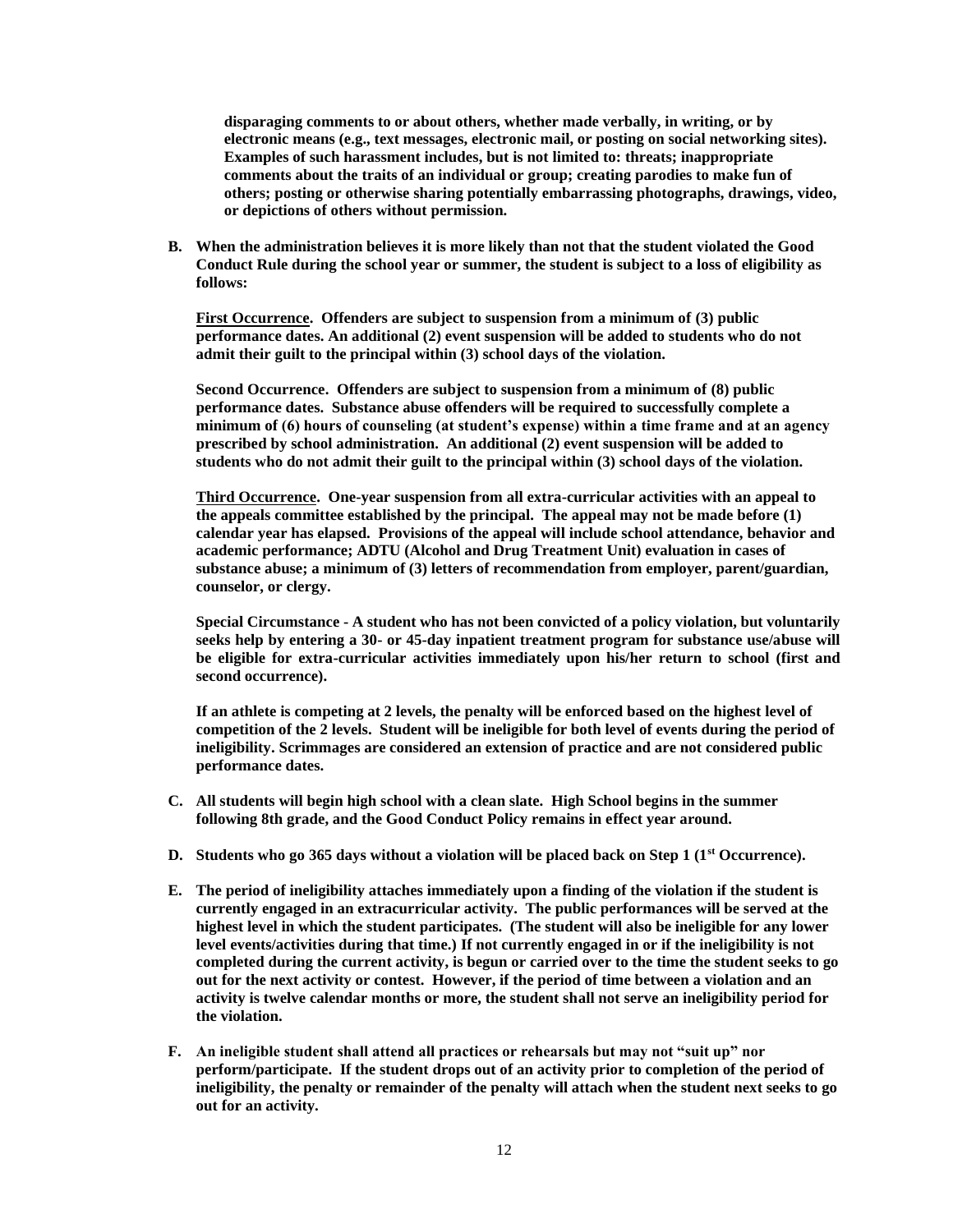**disparaging comments to or about others, whether made verbally, in writing, or by electronic means (e.g., text messages, electronic mail, or posting on social networking sites). Examples of such harassment includes, but is not limited to: threats; inappropriate comments about the traits of an individual or group; creating parodies to make fun of others; posting or otherwise sharing potentially embarrassing photographs, drawings, video, or depictions of others without permission.**

**B. When the administration believes it is more likely than not that the student violated the Good Conduct Rule during the school year or summer, the student is subject to a loss of eligibility as follows:**

**First Occurrence. Offenders are subject to suspension from a minimum of (3) public performance dates. An additional (2) event suspension will be added to students who do not admit their guilt to the principal within (3) school days of the violation.**

**Second Occurrence. Offenders are subject to suspension from a minimum of (8) public performance dates. Substance abuse offenders will be required to successfully complete a minimum of (6) hours of counseling (at student's expense) within a time frame and at an agency prescribed by school administration. An additional (2) event suspension will be added to students who do not admit their guilt to the principal within (3) school days of the violation.**

**Third Occurrence. One-year suspension from all extra-curricular activities with an appeal to the appeals committee established by the principal. The appeal may not be made before (1) calendar year has elapsed. Provisions of the appeal will include school attendance, behavior and academic performance; ADTU (Alcohol and Drug Treatment Unit) evaluation in cases of substance abuse; a minimum of (3) letters of recommendation from employer, parent/guardian, counselor, or clergy.**

**Special Circumstance - A student who has not been convicted of a policy violation, but voluntarily seeks help by entering a 30- or 45-day inpatient treatment program for substance use/abuse will be eligible for extra-curricular activities immediately upon his/her return to school (first and second occurrence).**

**If an athlete is competing at 2 levels, the penalty will be enforced based on the highest level of competition of the 2 levels. Student will be ineligible for both level of events during the period of ineligibility. Scrimmages are considered an extension of practice and are not considered public performance dates.** 

- **C. All students will begin high school with a clean slate. High School begins in the summer following 8th grade, and the Good Conduct Policy remains in effect year around.**
- **D. Students who go 365 days without a violation will be placed back on Step 1 (1st Occurrence).**
- **E. The period of ineligibility attaches immediately upon a finding of the violation if the student is currently engaged in an extracurricular activity. The public performances will be served at the highest level in which the student participates. (The student will also be ineligible for any lower level events/activities during that time.) If not currently engaged in or if the ineligibility is not completed during the current activity, is begun or carried over to the time the student seeks to go out for the next activity or contest. However, if the period of time between a violation and an activity is twelve calendar months or more, the student shall not serve an ineligibility period for the violation.**
- **F. An ineligible student shall attend all practices or rehearsals but may not "suit up" nor perform/participate. If the student drops out of an activity prior to completion of the period of ineligibility, the penalty or remainder of the penalty will attach when the student next seeks to go out for an activity.**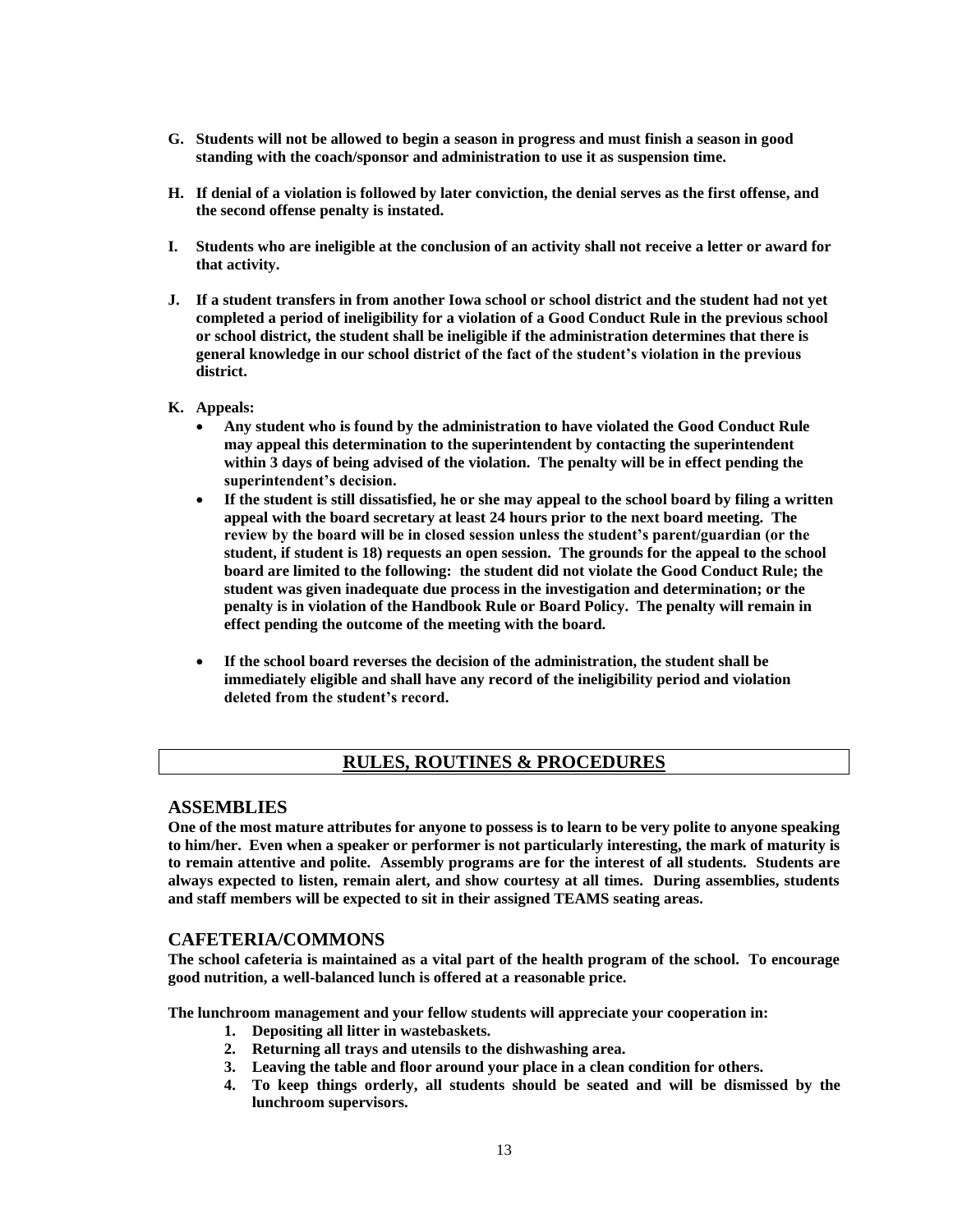- **G. Students will not be allowed to begin a season in progress and must finish a season in good standing with the coach/sponsor and administration to use it as suspension time.**
- **H. If denial of a violation is followed by later conviction, the denial serves as the first offense, and the second offense penalty is instated.**
- **I. Students who are ineligible at the conclusion of an activity shall not receive a letter or award for that activity.**
- **J. If a student transfers in from another Iowa school or school district and the student had not yet completed a period of ineligibility for a violation of a Good Conduct Rule in the previous school or school district, the student shall be ineligible if the administration determines that there is general knowledge in our school district of the fact of the student's violation in the previous district.**
- **K. Appeals:**
	- **Any student who is found by the administration to have violated the Good Conduct Rule may appeal this determination to the superintendent by contacting the superintendent within 3 days of being advised of the violation. The penalty will be in effect pending the superintendent's decision.**
	- **If the student is still dissatisfied, he or she may appeal to the school board by filing a written appeal with the board secretary at least 24 hours prior to the next board meeting. The review by the board will be in closed session unless the student's parent/guardian (or the student, if student is 18) requests an open session. The grounds for the appeal to the school board are limited to the following: the student did not violate the Good Conduct Rule; the student was given inadequate due process in the investigation and determination; or the penalty is in violation of the Handbook Rule or Board Policy. The penalty will remain in effect pending the outcome of the meeting with the board.**
	- **If the school board reverses the decision of the administration, the student shall be immediately eligible and shall have any record of the ineligibility period and violation deleted from the student's record.**

### **RULES, ROUTINES & PROCEDURES**

#### **ASSEMBLIES**

**One of the most mature attributes for anyone to possess is to learn to be very polite to anyone speaking to him/her. Even when a speaker or performer is not particularly interesting, the mark of maturity is to remain attentive and polite. Assembly programs are for the interest of all students. Students are always expected to listen, remain alert, and show courtesy at all times. During assemblies, students and staff members will be expected to sit in their assigned TEAMS seating areas.**

#### **CAFETERIA/COMMONS**

**The school cafeteria is maintained as a vital part of the health program of the school. To encourage good nutrition, a well-balanced lunch is offered at a reasonable price.**

**The lunchroom management and your fellow students will appreciate your cooperation in:**

- **1. Depositing all litter in wastebaskets.**
- **2. Returning all trays and utensils to the dishwashing area.**
- **3. Leaving the table and floor around your place in a clean condition for others.**
- **4. To keep things orderly, all students should be seated and will be dismissed by the lunchroom supervisors.**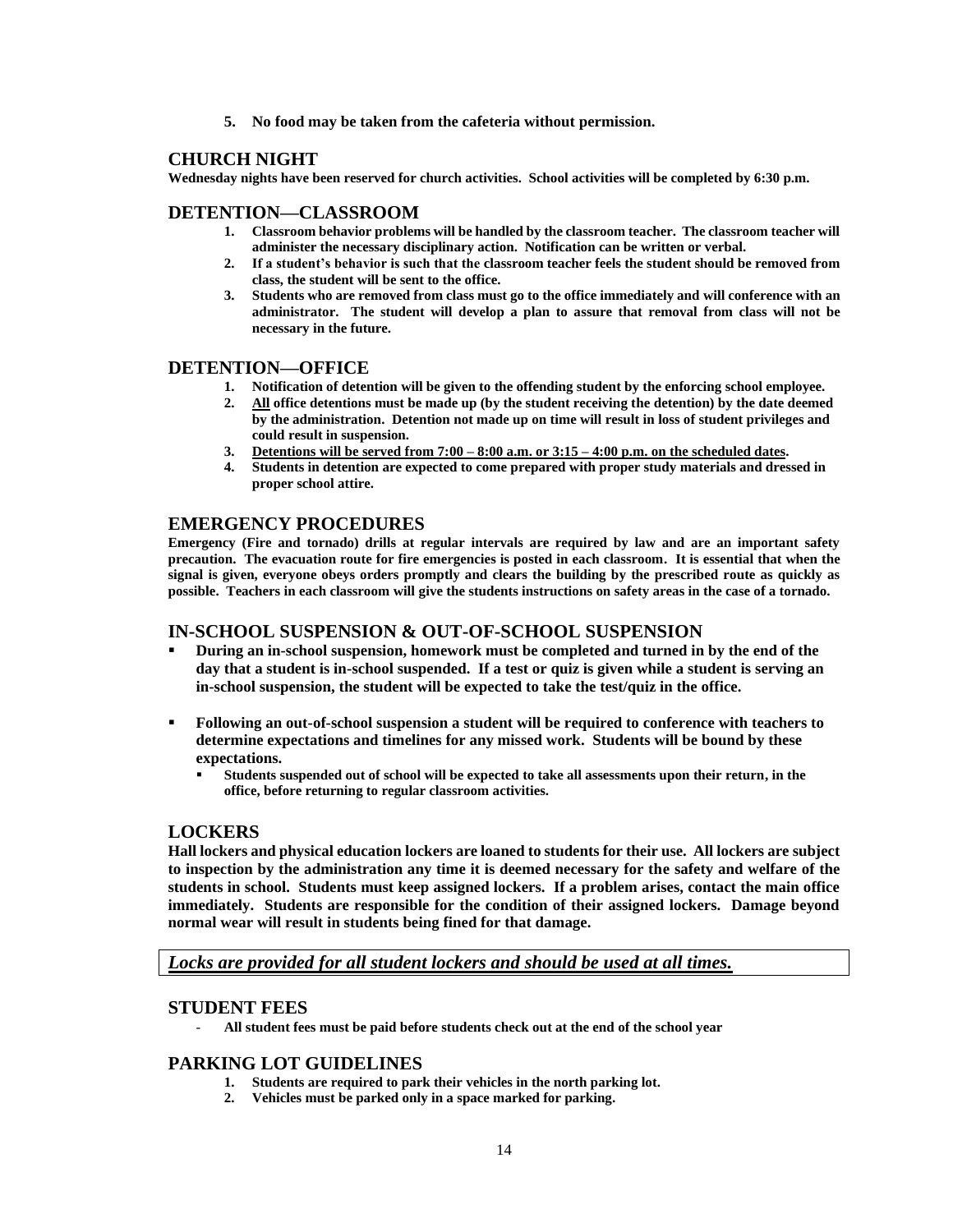**5. No food may be taken from the cafeteria without permission.**

#### **CHURCH NIGHT**

**Wednesday nights have been reserved for church activities. School activities will be completed by 6:30 p.m.**

#### **DETENTION—CLASSROOM**

- **1. Classroom behavior problems will be handled by the classroom teacher. The classroom teacher will administer the necessary disciplinary action. Notification can be written or verbal.**
- **2. If a student's behavior is such that the classroom teacher feels the student should be removed from class, the student will be sent to the office.**
- **3. Students who are removed from class must go to the office immediately and will conference with an administrator. The student will develop a plan to assure that removal from class will not be necessary in the future.**

#### **DETENTION—OFFICE**

- **1. Notification of detention will be given to the offending student by the enforcing school employee.**
- **2. All office detentions must be made up (by the student receiving the detention) by the date deemed by the administration. Detention not made up on time will result in loss of student privileges and could result in suspension.**
- **3. Detentions will be served from 7:00 – 8:00 a.m. or 3:15 – 4:00 p.m. on the scheduled dates.**
- **4. Students in detention are expected to come prepared with proper study materials and dressed in proper school attire.**

#### **EMERGENCY PROCEDURES**

**Emergency (Fire and tornado) drills at regular intervals are required by law and are an important safety precaution. The evacuation route for fire emergencies is posted in each classroom. It is essential that when the signal is given, everyone obeys orders promptly and clears the building by the prescribed route as quickly as possible. Teachers in each classroom will give the students instructions on safety areas in the case of a tornado.**

### **IN-SCHOOL SUSPENSION & OUT-OF-SCHOOL SUSPENSION**

- **During an in-school suspension, homework must be completed and turned in by the end of the day that a student is in-school suspended. If a test or quiz is given while a student is serving an in-school suspension, the student will be expected to take the test/quiz in the office.**
- **Following an out-of-school suspension a student will be required to conference with teachers to determine expectations and timelines for any missed work. Students will be bound by these expectations.** 
	- **Students suspended out of school will be expected to take all assessments upon their return, in the office, before returning to regular classroom activities.**

#### **LOCKERS**

**Hall lockers and physical education lockers are loaned to students for their use. All lockers are subject to inspection by the administration any time it is deemed necessary for the safety and welfare of the students in school. Students must keep assigned lockers. If a problem arises, contact the main office immediately. Students are responsible for the condition of their assigned lockers. Damage beyond normal wear will result in students being fined for that damage.** 

*Locks are provided for all student lockers and should be used at all times.*

#### **STUDENT FEES**

- **All student fees must be paid before students check out at the end of the school year**

#### **PARKING LOT GUIDELINES**

- **1. Students are required to park their vehicles in the north parking lot.**
- **2. Vehicles must be parked only in a space marked for parking.**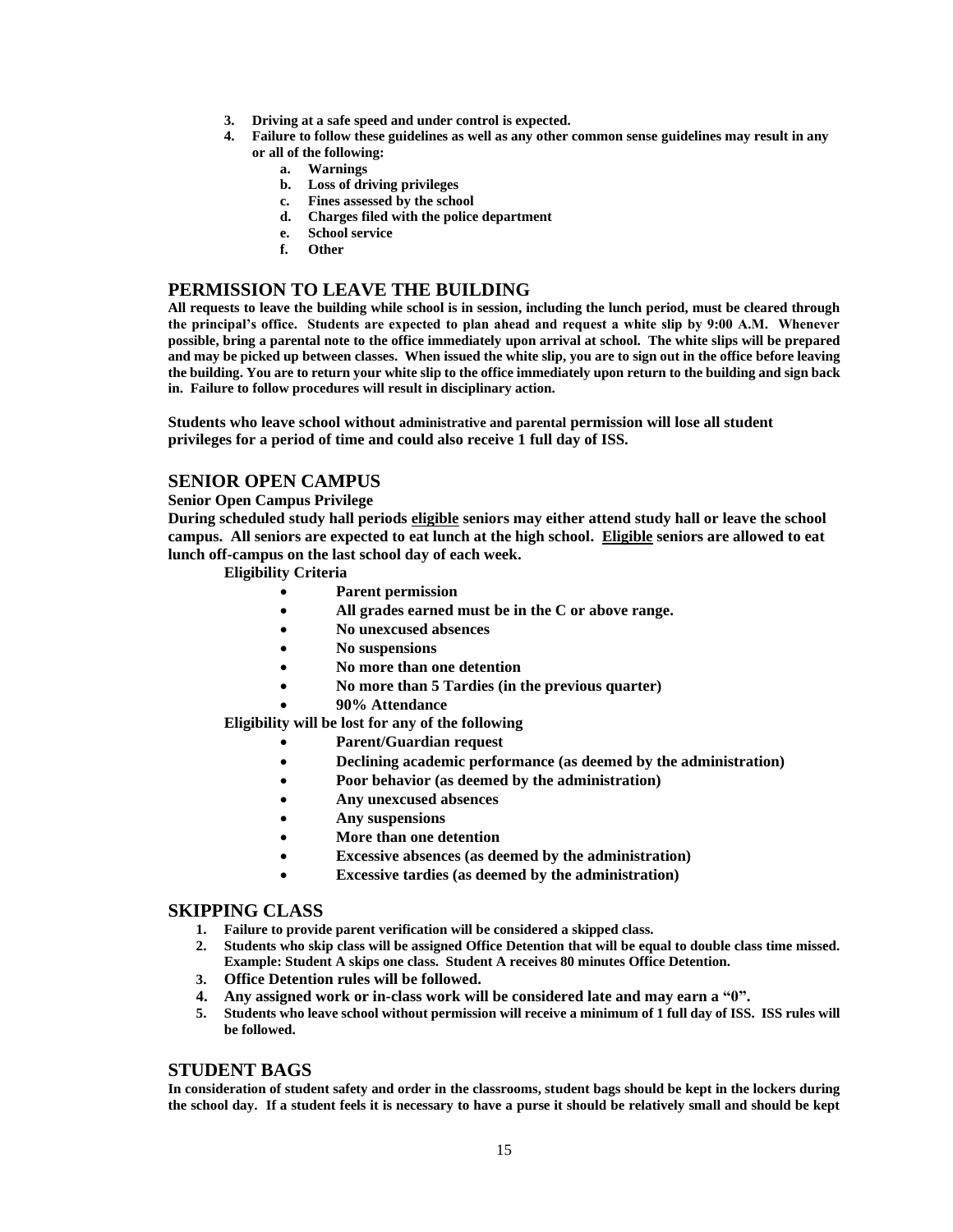- **3. Driving at a safe speed and under control is expected.**
- **4. Failure to follow these guidelines as well as any other common sense guidelines may result in any or all of the following:**
	- **a. Warnings**
	- **b. Loss of driving privileges**
	- **c. Fines assessed by the school**
	- **d. Charges filed with the police department**
	- **e. School service**
	- **f. Other**

#### **PERMISSION TO LEAVE THE BUILDING**

**All requests to leave the building while school is in session, including the lunch period, must be cleared through the principal's office. Students are expected to plan ahead and request a white slip by 9:00 A.M. Whenever possible, bring a parental note to the office immediately upon arrival at school. The white slips will be prepared and may be picked up between classes. When issued the white slip, you are to sign out in the office before leaving the building. You are to return your white slip to the office immediately upon return to the building and sign back in. Failure to follow procedures will result in disciplinary action.**

**Students who leave school without administrative and parental permission will lose all student privileges for a period of time and could also receive 1 full day of ISS.**

#### **SENIOR OPEN CAMPUS**

**Senior Open Campus Privilege**

**During scheduled study hall periods eligible seniors may either attend study hall or leave the school campus. All seniors are expected to eat lunch at the high school. Eligible seniors are allowed to eat lunch off-campus on the last school day of each week.**

#### **Eligibility Criteria**

- **Parent permission**
- **All grades earned must be in the C or above range.**
- **No unexcused absences**
- **No suspensions**
- **No more than one detention**
- **No more than 5 Tardies (in the previous quarter)**
	- **90% Attendance**

**Eligibility will be lost for any of the following**

- **Parent/Guardian request**
- **Declining academic performance (as deemed by the administration)**
- **Poor behavior (as deemed by the administration)**
- **Any unexcused absences**
- **Any suspensions**
- **More than one detention**
- **Excessive absences (as deemed by the administration)**
- **Excessive tardies (as deemed by the administration)**

#### **SKIPPING CLASS**

- **1. Failure to provide parent verification will be considered a skipped class.**
- **2. Students who skip class will be assigned Office Detention that will be equal to double class time missed. Example: Student A skips one class. Student A receives 80 minutes Office Detention.**
- **3. Office Detention rules will be followed.**
- **4. Any assigned work or in-class work will be considered late and may earn a "0".**
- **5. Students who leave school without permission will receive a minimum of 1 full day of ISS. ISS rules will be followed.**

#### **STUDENT BAGS**

**In consideration of student safety and order in the classrooms, student bags should be kept in the lockers during the school day. If a student feels it is necessary to have a purse it should be relatively small and should be kept**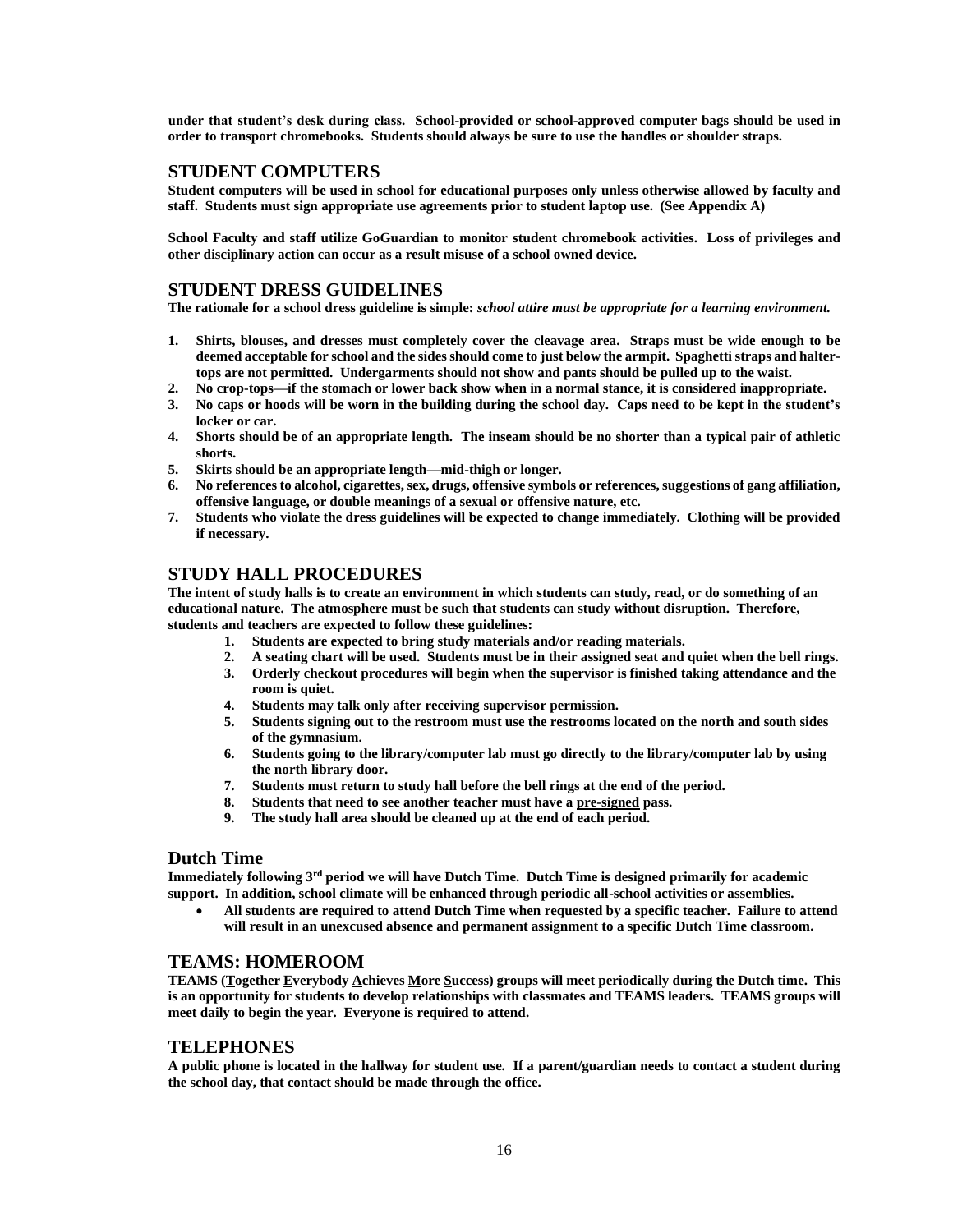**under that student's desk during class. School-provided or school-approved computer bags should be used in order to transport chromebooks. Students should always be sure to use the handles or shoulder straps.**

#### **STUDENT COMPUTERS**

**Student computers will be used in school for educational purposes only unless otherwise allowed by faculty and staff. Students must sign appropriate use agreements prior to student laptop use. (See Appendix A)**

**School Faculty and staff utilize GoGuardian to monitor student chromebook activities. Loss of privileges and other disciplinary action can occur as a result misuse of a school owned device.**

#### **STUDENT DRESS GUIDELINES**

**The rationale for a school dress guideline is simple:** *school attire must be appropriate for a learning environment.*

- **1. Shirts, blouses, and dresses must completely cover the cleavage area. Straps must be wide enough to be deemed acceptable for school and the sides should come to just below the armpit. Spaghetti straps and haltertops are not permitted. Undergarments should not show and pants should be pulled up to the waist.**
- **2. No crop-tops—if the stomach or lower back show when in a normal stance, it is considered inappropriate.**
- **3. No caps or hoods will be worn in the building during the school day. Caps need to be kept in the student's locker or car.**
- **4. Shorts should be of an appropriate length. The inseam should be no shorter than a typical pair of athletic shorts.**
- **5. Skirts should be an appropriate length—mid-thigh or longer.**
- **6. No references to alcohol, cigarettes, sex, drugs, offensive symbols or references, suggestions of gang affiliation, offensive language, or double meanings of a sexual or offensive nature, etc.**
- **7. Students who violate the dress guidelines will be expected to change immediately. Clothing will be provided if necessary.**

#### **STUDY HALL PROCEDURES**

**The intent of study halls is to create an environment in which students can study, read, or do something of an educational nature. The atmosphere must be such that students can study without disruption. Therefore, students and teachers are expected to follow these guidelines:**

- **1. Students are expected to bring study materials and/or reading materials.**
- **2. A seating chart will be used. Students must be in their assigned seat and quiet when the bell rings.**
- **3. Orderly checkout procedures will begin when the supervisor is finished taking attendance and the room is quiet.**
- **4. Students may talk only after receiving supervisor permission.**
- **5. Students signing out to the restroom must use the restrooms located on the north and south sides of the gymnasium.**
- **6. Students going to the library/computer lab must go directly to the library/computer lab by using the north library door.**
- **7. Students must return to study hall before the bell rings at the end of the period.**
- **8. Students that need to see another teacher must have a pre-signed pass.**
- **9. The study hall area should be cleaned up at the end of each period.**

#### **Dutch Time**

**Immediately following 3 rd period we will have Dutch Time. Dutch Time is designed primarily for academic support. In addition, school climate will be enhanced through periodic all-school activities or assemblies.** 

• **All students are required to attend Dutch Time when requested by a specific teacher. Failure to attend will result in an unexcused absence and permanent assignment to a specific Dutch Time classroom.** 

#### **TEAMS: HOMEROOM**

**TEAMS (Together Everybody Achieves More Success) groups will meet periodically during the Dutch time. This is an opportunity for students to develop relationships with classmates and TEAMS leaders. TEAMS groups will meet daily to begin the year. Everyone is required to attend.**

#### **TELEPHONES**

**A public phone is located in the hallway for student use. If a parent/guardian needs to contact a student during the school day, that contact should be made through the office.**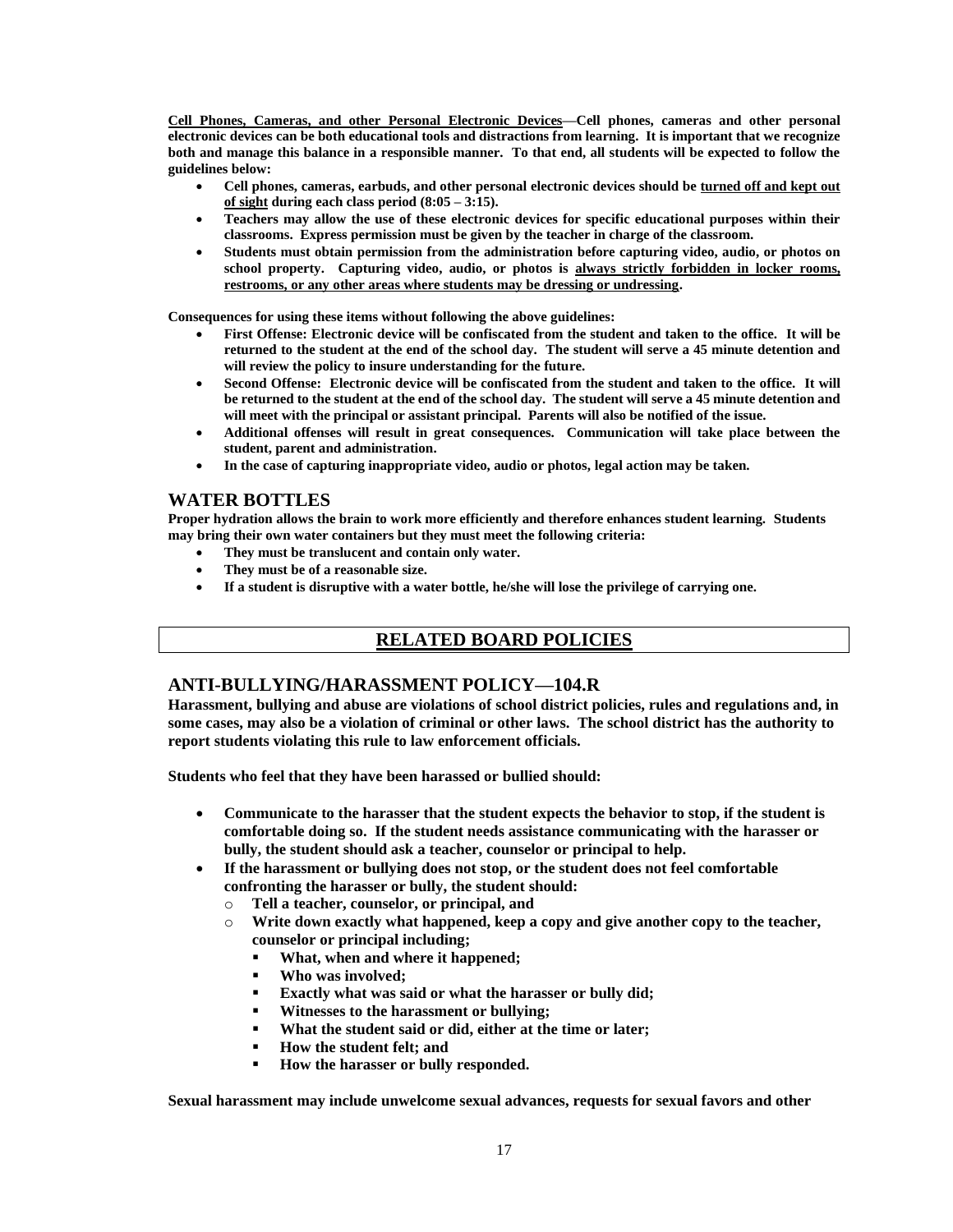**Cell Phones, Cameras, and other Personal Electronic Devices—Cell phones, cameras and other personal electronic devices can be both educational tools and distractions from learning. It is important that we recognize both and manage this balance in a responsible manner. To that end, all students will be expected to follow the guidelines below:**

- **Cell phones, cameras, earbuds, and other personal electronic devices should be turned off and kept out of sight during each class period (8:05 – 3:15).**
- **Teachers may allow the use of these electronic devices for specific educational purposes within their classrooms. Express permission must be given by the teacher in charge of the classroom.**
- **Students must obtain permission from the administration before capturing video, audio, or photos on school property. Capturing video, audio, or photos is always strictly forbidden in locker rooms, restrooms, or any other areas where students may be dressing or undressing.**

**Consequences for using these items without following the above guidelines:**

- **First Offense: Electronic device will be confiscated from the student and taken to the office. It will be returned to the student at the end of the school day. The student will serve a 45 minute detention and will review the policy to insure understanding for the future.**
- **Second Offense: Electronic device will be confiscated from the student and taken to the office. It will be returned to the student at the end of the school day. The student will serve a 45 minute detention and will meet with the principal or assistant principal. Parents will also be notified of the issue.**
- **Additional offenses will result in great consequences. Communication will take place between the student, parent and administration.**
- **In the case of capturing inappropriate video, audio or photos, legal action may be taken.**

#### **WATER BOTTLES**

**Proper hydration allows the brain to work more efficiently and therefore enhances student learning. Students may bring their own water containers but they must meet the following criteria:** 

- **They must be translucent and contain only water.**
- **They must be of a reasonable size.**
- **If a student is disruptive with a water bottle, he/she will lose the privilege of carrying one.**

### **RELATED BOARD POLICIES**

#### **ANTI-BULLYING/HARASSMENT POLICY—104.R**

**Harassment, bullying and abuse are violations of school district policies, rules and regulations and, in some cases, may also be a violation of criminal or other laws. The school district has the authority to report students violating this rule to law enforcement officials.**

**Students who feel that they have been harassed or bullied should:** 

- **Communicate to the harasser that the student expects the behavior to stop, if the student is comfortable doing so. If the student needs assistance communicating with the harasser or bully, the student should ask a teacher, counselor or principal to help.**
- **If the harassment or bullying does not stop, or the student does not feel comfortable confronting the harasser or bully, the student should:**
	- o **Tell a teacher, counselor, or principal, and**
	- o **Write down exactly what happened, keep a copy and give another copy to the teacher, counselor or principal including;**
		- **What, when and where it happened;**
		- **Who was involved;**
		- **Exactly what was said or what the harasser or bully did;**
		- **Witnesses to the harassment or bullying;**
		- **What the student said or did, either at the time or later;**
		- **How the student felt; and**
		- How the harasser or bully responded.

**Sexual harassment may include unwelcome sexual advances, requests for sexual favors and other**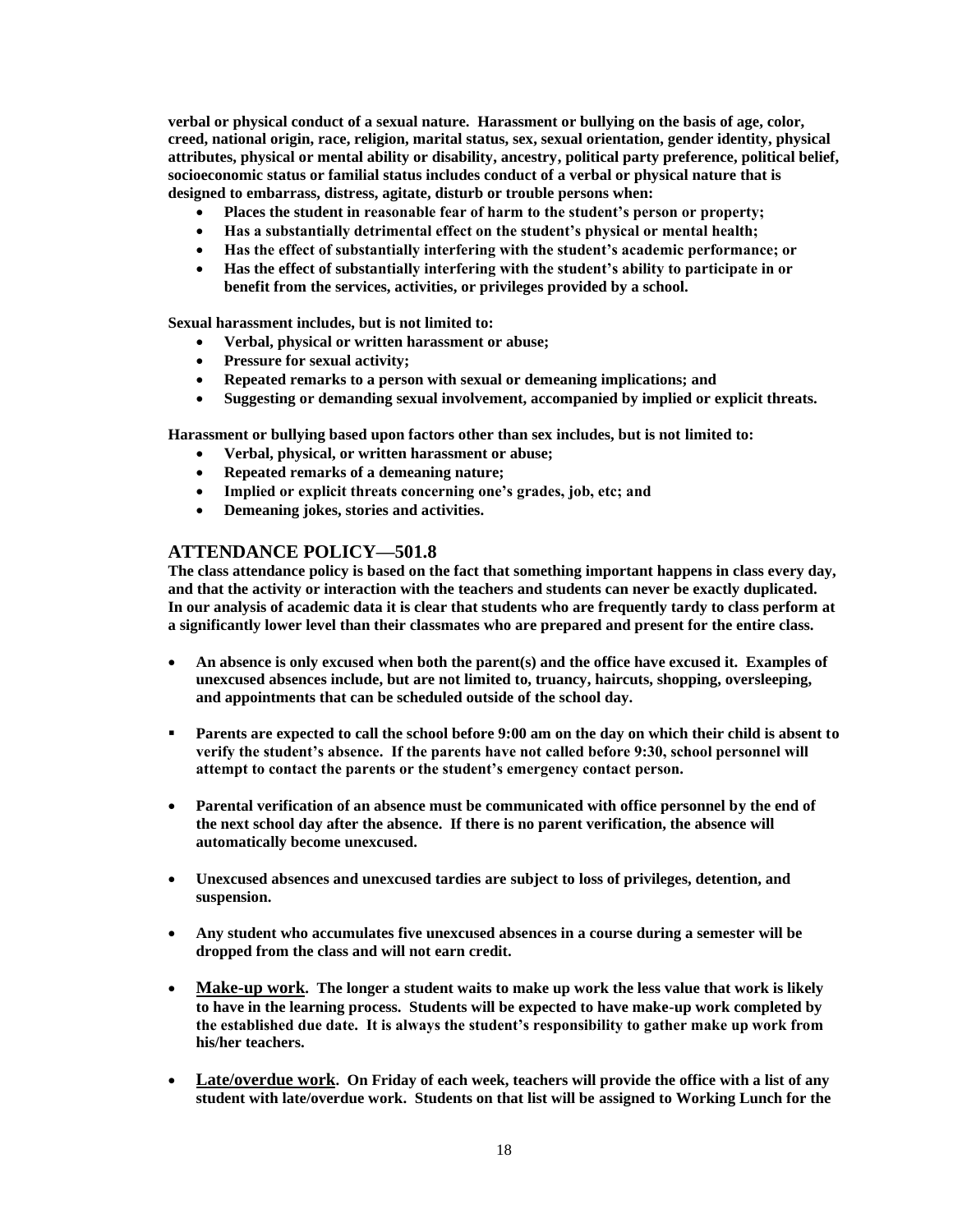**verbal or physical conduct of a sexual nature. Harassment or bullying on the basis of age, color, creed, national origin, race, religion, marital status, sex, sexual orientation, gender identity, physical attributes, physical or mental ability or disability, ancestry, political party preference, political belief, socioeconomic status or familial status includes conduct of a verbal or physical nature that is designed to embarrass, distress, agitate, disturb or trouble persons when:**

- **Places the student in reasonable fear of harm to the student's person or property;**
- **Has a substantially detrimental effect on the student's physical or mental health;**
- **Has the effect of substantially interfering with the student's academic performance; or**
- **Has the effect of substantially interfering with the student's ability to participate in or benefit from the services, activities, or privileges provided by a school.**

**Sexual harassment includes, but is not limited to:**

- **Verbal, physical or written harassment or abuse;**
- **Pressure for sexual activity;**
- **Repeated remarks to a person with sexual or demeaning implications; and**
- **Suggesting or demanding sexual involvement, accompanied by implied or explicit threats.**

**Harassment or bullying based upon factors other than sex includes, but is not limited to:**

- **Verbal, physical, or written harassment or abuse;**
- **Repeated remarks of a demeaning nature;**
- **Implied or explicit threats concerning one's grades, job, etc; and**
- **Demeaning jokes, stories and activities.**

#### **ATTENDANCE POLICY—501.8**

**The class attendance policy is based on the fact that something important happens in class every day, and that the activity or interaction with the teachers and students can never be exactly duplicated. In our analysis of academic data it is clear that students who are frequently tardy to class perform at a significantly lower level than their classmates who are prepared and present for the entire class.** 

- **An absence is only excused when both the parent(s) and the office have excused it. Examples of unexcused absences include, but are not limited to, truancy, haircuts, shopping, oversleeping, and appointments that can be scheduled outside of the school day.**
- **•** Parents are expected to call the school before 9:00 am on the day on which their child is absent to **verify the student's absence. If the parents have not called before 9:30, school personnel will attempt to contact the parents or the student's emergency contact person.**
- **Parental verification of an absence must be communicated with office personnel by the end of the next school day after the absence. If there is no parent verification, the absence will automatically become unexcused.**
- **Unexcused absences and unexcused tardies are subject to loss of privileges, detention, and suspension.**
- **Any student who accumulates five unexcused absences in a course during a semester will be dropped from the class and will not earn credit.**
- **Make-up work. The longer a student waits to make up work the less value that work is likely to have in the learning process. Students will be expected to have make-up work completed by the established due date. It is always the student's responsibility to gather make up work from his/her teachers.**
- **Late/overdue work. On Friday of each week, teachers will provide the office with a list of any student with late/overdue work. Students on that list will be assigned to Working Lunch for the**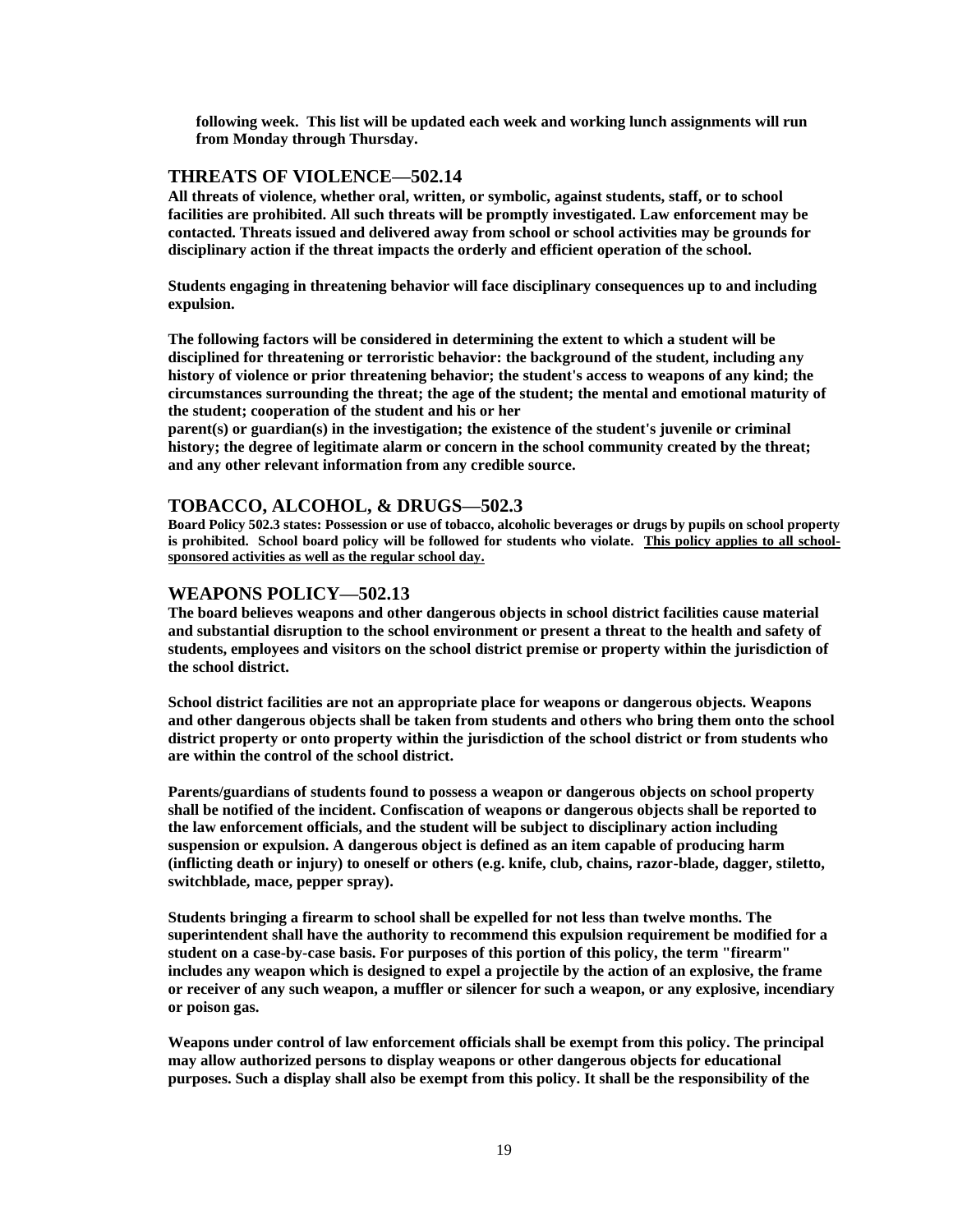**following week. This list will be updated each week and working lunch assignments will run from Monday through Thursday.**

#### **THREATS OF VIOLENCE—502.14**

**All threats of violence, whether oral, written, or symbolic, against students, staff, or to school facilities are prohibited. All such threats will be promptly investigated. Law enforcement may be contacted. Threats issued and delivered away from school or school activities may be grounds for disciplinary action if the threat impacts the orderly and efficient operation of the school.**

**Students engaging in threatening behavior will face disciplinary consequences up to and including expulsion.**

**The following factors will be considered in determining the extent to which a student will be disciplined for threatening or terroristic behavior: the background of the student, including any history of violence or prior threatening behavior; the student's access to weapons of any kind; the circumstances surrounding the threat; the age of the student; the mental and emotional maturity of the student; cooperation of the student and his or her**

**parent(s) or guardian(s) in the investigation; the existence of the student's juvenile or criminal history; the degree of legitimate alarm or concern in the school community created by the threat; and any other relevant information from any credible source.**

#### **TOBACCO, ALCOHOL, & DRUGS—502.3**

**Board Policy 502.3 states: Possession or use of tobacco, alcoholic beverages or drugs by pupils on school property is prohibited. School board policy will be followed for students who violate. This policy applies to all schoolsponsored activities as well as the regular school day.**

#### **WEAPONS POLICY—502.13**

**The board believes weapons and other dangerous objects in school district facilities cause material and substantial disruption to the school environment or present a threat to the health and safety of students, employees and visitors on the school district premise or property within the jurisdiction of the school district.**

**School district facilities are not an appropriate place for weapons or dangerous objects. Weapons and other dangerous objects shall be taken from students and others who bring them onto the school district property or onto property within the jurisdiction of the school district or from students who are within the control of the school district.**

**Parents/guardians of students found to possess a weapon or dangerous objects on school property shall be notified of the incident. Confiscation of weapons or dangerous objects shall be reported to the law enforcement officials, and the student will be subject to disciplinary action including suspension or expulsion. A dangerous object is defined as an item capable of producing harm (inflicting death or injury) to oneself or others (e.g. knife, club, chains, razor-blade, dagger, stiletto, switchblade, mace, pepper spray).**

**Students bringing a firearm to school shall be expelled for not less than twelve months. The superintendent shall have the authority to recommend this expulsion requirement be modified for a student on a case-by-case basis. For purposes of this portion of this policy, the term "firearm" includes any weapon which is designed to expel a projectile by the action of an explosive, the frame or receiver of any such weapon, a muffler or silencer for such a weapon, or any explosive, incendiary or poison gas.**

**Weapons under control of law enforcement officials shall be exempt from this policy. The principal may allow authorized persons to display weapons or other dangerous objects for educational purposes. Such a display shall also be exempt from this policy. It shall be the responsibility of the**